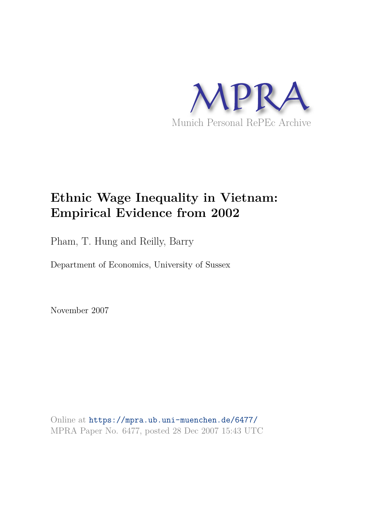

# **Ethnic Wage Inequality in Vietnam: Empirical Evidence from 2002**

Pham, T. Hung and Reilly, Barry

Department of Economics, University of Sussex

November 2007

Online at https://mpra.ub.uni-muenchen.de/6477/ MPRA Paper No. 6477, posted 28 Dec 2007 15:43 UTC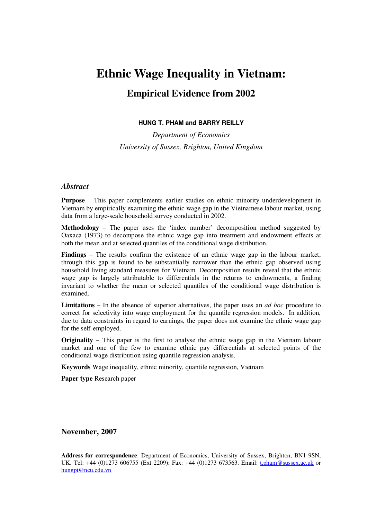# **Ethnic Wage Inequality in Vietnam: Empirical Evidence from 2002**

### **HUNG T. PHAM and BARRY REILLY**

*Department of Economics University of Sussex, Brighton, United Kingdom* 

# *Abstract*

**Purpose** – This paper complements earlier studies on ethnic minority underdevelopment in Vietnam by empirically examining the ethnic wage gap in the Vietnamese labour market, using data from a large-scale household survey conducted in 2002.

**Methodology** – The paper uses the 'index number' decomposition method suggested by Oaxaca (1973) to decompose the ethnic wage gap into treatment and endowment effects at both the mean and at selected quantiles of the conditional wage distribution.

**Findings** – The results confirm the existence of an ethnic wage gap in the labour market, through this gap is found to be substantially narrower than the ethnic gap observed using household living standard measures for Vietnam. Decomposition results reveal that the ethnic wage gap is largely attributable to differentials in the returns to endowments, a finding invariant to whether the mean or selected quantiles of the conditional wage distribution is examined.

**Limitations** – In the absence of superior alternatives, the paper uses an *ad hoc* procedure to correct for selectivity into wage employment for the quantile regression models. In addition, due to data constraints in regard to earnings, the paper does not examine the ethnic wage gap for the self-employed.

**Originality** – This paper is the first to analyse the ethnic wage gap in the Vietnam labour market and one of the few to examine ethnic pay differentials at selected points of the conditional wage distribution using quantile regression analysis.

**Keywords** Wage inequality, ethnic minority, quantile regression, Vietnam

**Paper type** Research paper

**November, 2007** 

**Address for correspondence**: Department of Economics, University of Sussex, Brighton, BN1 9SN, UK. Tel: +44 (0)1273 606755 (Ext 2209); Fax: +44 (0)1273 673563. Email: t.pham@sussex.ac.uk or hungpt@neu.edu.vn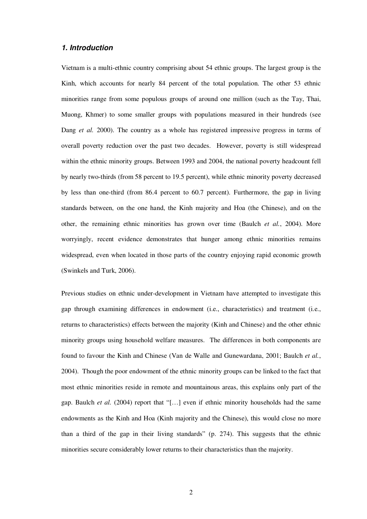# *1. Introduction*

Vietnam is a multi-ethnic country comprising about 54 ethnic groups. The largest group is the Kinh, which accounts for nearly 84 percent of the total population. The other 53 ethnic minorities range from some populous groups of around one million (such as the Tay, Thai, Muong, Khmer) to some smaller groups with populations measured in their hundreds (see Dang *et al.* 2000). The country as a whole has registered impressive progress in terms of overall poverty reduction over the past two decades. However, poverty is still widespread within the ethnic minority groups. Between 1993 and 2004, the national poverty headcount fell by nearly two-thirds (from 58 percent to 19.5 percent), while ethnic minority poverty decreased by less than one-third (from 86.4 percent to 60.7 percent). Furthermore, the gap in living standards between, on the one hand, the Kinh majority and Hoa (the Chinese), and on the other, the remaining ethnic minorities has grown over time (Baulch *et al.*, 2004). More worryingly, recent evidence demonstrates that hunger among ethnic minorities remains widespread, even when located in those parts of the country enjoying rapid economic growth (Swinkels and Turk, 2006).

Previous studies on ethnic under-development in Vietnam have attempted to investigate this gap through examining differences in endowment (i.e., characteristics) and treatment (i.e., returns to characteristics) effects between the majority (Kinh and Chinese) and the other ethnic minority groups using household welfare measures. The differences in both components are found to favour the Kinh and Chinese (Van de Walle and Gunewardana, 2001; Baulch *et al.*, 2004). Though the poor endowment of the ethnic minority groups can be linked to the fact that most ethnic minorities reside in remote and mountainous areas, this explains only part of the gap. Baulch *et al.* (2004) report that "[…] even if ethnic minority households had the same endowments as the Kinh and Hoa (Kinh majority and the Chinese), this would close no more than a third of the gap in their living standards" (p. 274). This suggests that the ethnic minorities secure considerably lower returns to their characteristics than the majority.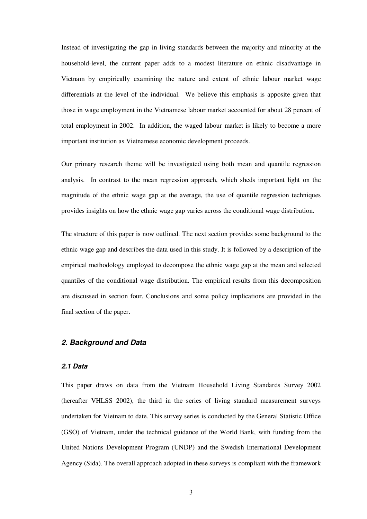Instead of investigating the gap in living standards between the majority and minority at the household-level, the current paper adds to a modest literature on ethnic disadvantage in Vietnam by empirically examining the nature and extent of ethnic labour market wage differentials at the level of the individual. We believe this emphasis is apposite given that those in wage employment in the Vietnamese labour market accounted for about 28 percent of total employment in 2002. In addition, the waged labour market is likely to become a more important institution as Vietnamese economic development proceeds.

Our primary research theme will be investigated using both mean and quantile regression analysis. In contrast to the mean regression approach, which sheds important light on the magnitude of the ethnic wage gap at the average, the use of quantile regression techniques provides insights on how the ethnic wage gap varies across the conditional wage distribution.

The structure of this paper is now outlined. The next section provides some background to the ethnic wage gap and describes the data used in this study. It is followed by a description of the empirical methodology employed to decompose the ethnic wage gap at the mean and selected quantiles of the conditional wage distribution. The empirical results from this decomposition are discussed in section four. Conclusions and some policy implications are provided in the final section of the paper.

# *2. Background and Data*

#### *2.1 Data*

This paper draws on data from the Vietnam Household Living Standards Survey 2002 (hereafter VHLSS 2002), the third in the series of living standard measurement surveys undertaken for Vietnam to date. This survey series is conducted by the General Statistic Office (GSO) of Vietnam, under the technical guidance of the World Bank, with funding from the United Nations Development Program (UNDP) and the Swedish International Development Agency (Sida). The overall approach adopted in these surveys is compliant with the framework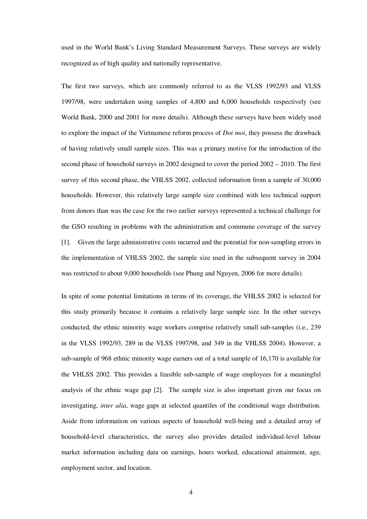used in the World Bank's Living Standard Measurement Surveys. These surveys are widely recognized as of high quality and nationally representative.

The first two surveys, which are commonly referred to as the VLSS 1992/93 and VLSS 1997/98, were undertaken using samples of 4,800 and 6,000 households respectively (see World Bank, 2000 and 2001 for more details). Although these surveys have been widely used to explore the impact of the Vietnamese reform process of *Doi moi*, they possess the drawback of having relatively small sample sizes. This was a primary motive for the introduction of the second phase of household surveys in 2002 designed to cover the period 2002 – 2010. The first survey of this second phase, the VHLSS 2002, collected information from a sample of 30,000 households. However, this relatively large sample size combined with less technical support from donors than was the case for the two earlier surveys represented a technical challenge for the GSO resulting in problems with the administration and commune coverage of the survey [1]. Given the large administrative costs incurred and the potential for non-sampling errors in the implementation of VHLSS 2002, the sample size used in the subsequent survey in 2004 was restricted to about 9,000 households (see Phung and Nguyen, 2006 for more details).

In spite of some potential limitations in terms of its coverage, the VHLSS 2002 is selected for this study primarily because it contains a relatively large sample size. In the other surveys conducted, the ethnic minority wage workers comprise relatively small sub-samples (i.e., 239 in the VLSS 1992/93, 289 in the VLSS 1997/98, and 349 in the VHLSS 2004). However, a sub-sample of 968 ethnic minority wage earners out of a total sample of 16,170 is available for the VHLSS 2002. This provides a feasible sub-sample of wage employees for a meaningful analysis of the ethnic wage gap [2]. The sample size is also important given our focus on investigating, *inter alia*, wage gaps at selected quantiles of the conditional wage distribution. Aside from information on various aspects of household well-being and a detailed array of household-level characteristics, the survey also provides detailed individual-level labour market information including data on earnings, hours worked, educational attainment, age, employment sector, and location.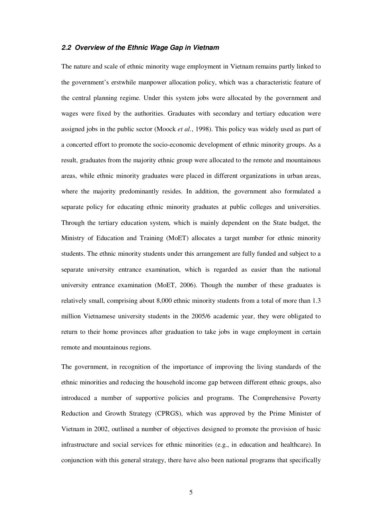# *2.2 Overview of the Ethnic Wage Gap in Vietnam*

The nature and scale of ethnic minority wage employment in Vietnam remains partly linked to the government's erstwhile manpower allocation policy, which was a characteristic feature of the central planning regime. Under this system jobs were allocated by the government and wages were fixed by the authorities. Graduates with secondary and tertiary education were assigned jobs in the public sector (Moock *et al.*, 1998). This policy was widely used as part of a concerted effort to promote the socio-economic development of ethnic minority groups. As a result, graduates from the majority ethnic group were allocated to the remote and mountainous areas, while ethnic minority graduates were placed in different organizations in urban areas, where the majority predominantly resides. In addition, the government also formulated a separate policy for educating ethnic minority graduates at public colleges and universities. Through the tertiary education system, which is mainly dependent on the State budget, the Ministry of Education and Training (MoET) allocates a target number for ethnic minority students. The ethnic minority students under this arrangement are fully funded and subject to a separate university entrance examination, which is regarded as easier than the national university entrance examination (MoET, 2006). Though the number of these graduates is relatively small, comprising about 8,000 ethnic minority students from a total of more than 1.3 million Vietnamese university students in the 2005/6 academic year, they were obligated to return to their home provinces after graduation to take jobs in wage employment in certain remote and mountainous regions.

The government, in recognition of the importance of improving the living standards of the ethnic minorities and reducing the household income gap between different ethnic groups, also introduced a number of supportive policies and programs. The Comprehensive Poverty Reduction and Growth Strategy (CPRGS), which was approved by the Prime Minister of Vietnam in 2002, outlined a number of objectives designed to promote the provision of basic infrastructure and social services for ethnic minorities (e.g., in education and healthcare). In conjunction with this general strategy, there have also been national programs that specifically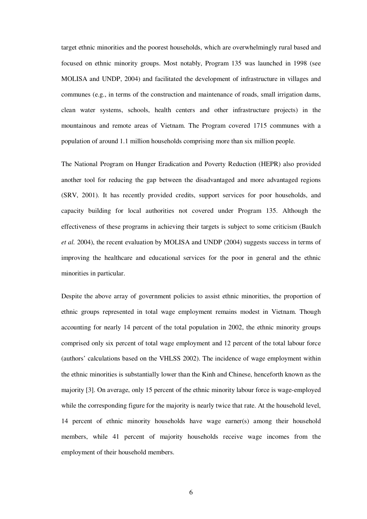target ethnic minorities and the poorest households, which are overwhelmingly rural based and focused on ethnic minority groups. Most notably, Program 135 was launched in 1998 (see MOLISA and UNDP, 2004) and facilitated the development of infrastructure in villages and communes (e.g., in terms of the construction and maintenance of roads, small irrigation dams, clean water systems, schools, health centers and other infrastructure projects) in the mountainous and remote areas of Vietnam. The Program covered 1715 communes with a population of around 1.1 million households comprising more than six million people.

The National Program on Hunger Eradication and Poverty Reduction (HEPR) also provided another tool for reducing the gap between the disadvantaged and more advantaged regions (SRV, 2001). It has recently provided credits, support services for poor households, and capacity building for local authorities not covered under Program 135. Although the effectiveness of these programs in achieving their targets is subject to some criticism (Baulch *et al.* 2004), the recent evaluation by MOLISA and UNDP (2004) suggests success in terms of improving the healthcare and educational services for the poor in general and the ethnic minorities in particular.

Despite the above array of government policies to assist ethnic minorities, the proportion of ethnic groups represented in total wage employment remains modest in Vietnam. Though accounting for nearly 14 percent of the total population in 2002, the ethnic minority groups comprised only six percent of total wage employment and 12 percent of the total labour force (authors' calculations based on the VHLSS 2002). The incidence of wage employment within the ethnic minorities is substantially lower than the Kinh and Chinese, henceforth known as the majority [3]. On average, only 15 percent of the ethnic minority labour force is wage-employed while the corresponding figure for the majority is nearly twice that rate. At the household level, 14 percent of ethnic minority households have wage earner(s) among their household members, while 41 percent of majority households receive wage incomes from the employment of their household members.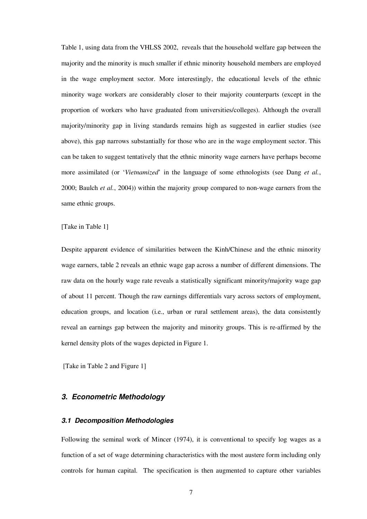Table 1, using data from the VHLSS 2002, reveals that the household welfare gap between the majority and the minority is much smaller if ethnic minority household members are employed in the wage employment sector. More interestingly, the educational levels of the ethnic minority wage workers are considerably closer to their majority counterparts (except in the proportion of workers who have graduated from universities/colleges). Although the overall majority/minority gap in living standards remains high as suggested in earlier studies (see above), this gap narrows substantially for those who are in the wage employment sector. This can be taken to suggest tentatively that the ethnic minority wage earners have perhaps become more assimilated (or '*Vietnamized*' in the language of some ethnologists (see Dang *et al.*, 2000; Baulch *et al.*, 2004)) within the majority group compared to non-wage earners from the same ethnic groups.

[Take in Table 1]

Despite apparent evidence of similarities between the Kinh/Chinese and the ethnic minority wage earners, table 2 reveals an ethnic wage gap across a number of different dimensions. The raw data on the hourly wage rate reveals a statistically significant minority/majority wage gap of about 11 percent. Though the raw earnings differentials vary across sectors of employment, education groups, and location (i.e., urban or rural settlement areas), the data consistently reveal an earnings gap between the majority and minority groups. This is re-affirmed by the kernel density plots of the wages depicted in Figure 1.

[Take in Table 2 and Figure 1]

# *3. Econometric Methodology*

### *3.1 Decomposition Methodologies*

Following the seminal work of Mincer (1974), it is conventional to specify log wages as a function of a set of wage determining characteristics with the most austere form including only controls for human capital. The specification is then augmented to capture other variables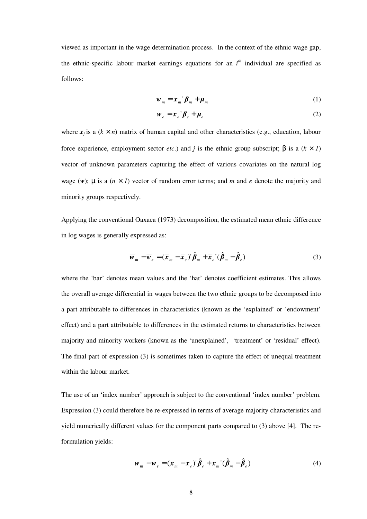viewed as important in the wage determination process. In the context of the ethnic wage gap, the ethnic-specific labour market earnings equations for an  $i<sup>th</sup>$  individual are specified as follows:

$$
\boldsymbol{w}_m = \boldsymbol{x}_m' \boldsymbol{\beta}_m + \boldsymbol{\mu}_m \tag{1}
$$

$$
w_e = x_e^{\dagger} \beta_e + \mu_e \tag{2}
$$

where  $x_i$  is a  $(k \times n)$  matrix of human capital and other characteristics (e.g., education, labour force experience, employment sector *etc*.) and *j* is the ethnic group subscript;  $\beta$  is a  $(k \times 1)$ vector of unknown parameters capturing the effect of various covariates on the natural log wage ( $w$ );  $\mu$  is a ( $n \times I$ ) vector of random error terms; and *m* and *e* denote the majority and minority groups respectively.

Applying the conventional Oaxaca (1973) decomposition, the estimated mean ethnic difference in log wages is generally expressed as:

$$
\overline{w}_m - \overline{w}_e = (\overline{x}_m - \overline{x}_e)^\prime \hat{\beta}_m + \overline{x}_e^\prime (\hat{\beta}_m - \hat{\beta}_e)
$$
\n(3)

where the 'bar' denotes mean values and the 'hat' denotes coefficient estimates. This allows the overall average differential in wages between the two ethnic groups to be decomposed into a part attributable to differences in characteristics (known as the 'explained' or 'endowment' effect) and a part attributable to differences in the estimated returns to characteristics between majority and minority workers (known as the 'unexplained', 'treatment' or 'residual' effect). The final part of expression (3) is sometimes taken to capture the effect of unequal treatment within the labour market.

The use of an 'index number' approach is subject to the conventional 'index number' problem. Expression (3) could therefore be re-expressed in terms of average majority characteristics and yield numerically different values for the component parts compared to (3) above [4]. The reformulation yields:

$$
\overline{w}_m - \overline{w}_e = (\overline{x}_m - \overline{x}_e)^\prime \hat{\beta}_e + \overline{x}_m^\prime (\hat{\beta}_m - \hat{\beta}_e)
$$
(4)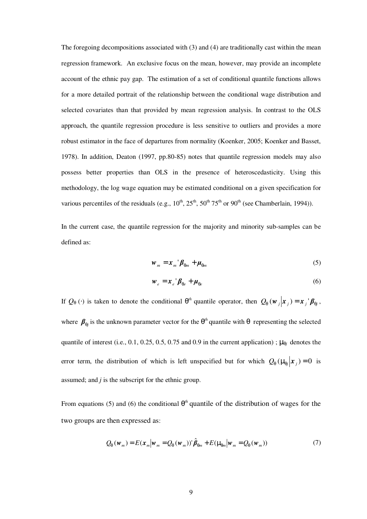The foregoing decompositions associated with (3) and (4) are traditionally cast within the mean regression framework. An exclusive focus on the mean, however, may provide an incomplete account of the ethnic pay gap. The estimation of a set of conditional quantile functions allows for a more detailed portrait of the relationship between the conditional wage distribution and selected covariates than that provided by mean regression analysis. In contrast to the OLS approach, the quantile regression procedure is less sensitive to outliers and provides a more robust estimator in the face of departures from normality (Koenker, 2005; Koenker and Basset, 1978). In addition, Deaton (1997, pp.80-85) notes that quantile regression models may also possess better properties than OLS in the presence of heteroscedasticity. Using this methodology, the log wage equation may be estimated conditional on a given specification for various percentiles of the residuals (e.g.,  $10^{th}$ ,  $25^{th}$ ,  $50^{th}$   $75^{th}$  or  $90^{th}$  (see Chamberlain, 1994)).

In the current case, the quantile regression for the majority and minority sub-samples can be defined as:

$$
\boldsymbol{w}_m = \boldsymbol{x}_m' \boldsymbol{\beta}_{\theta m} + \boldsymbol{\mu}_{\theta m} \tag{5}
$$

$$
w_e = x_e^{\dagger} \beta_{\theta e} + \mu_{\theta e} \tag{6}
$$

If  $Q_{\theta}$  (·) is taken to denote the conditional  $\theta^{th}$  quantile operator, then  $Q_{\theta}$  ( $w_j | x_j = x_j | \beta_{\theta j}$ , where  $\beta_{\theta}$  is the unknown parameter vector for the  $\theta^{\prime h}$  quantile with  $\theta$  representing the selected quantile of interest (i.e., 0.1, 0.25, 0.5, 0.75 and 0.9 in the current application) ;  $\mu_{\theta i}$  denotes the error term, the distribution of which is left unspecified but for which  $Q_{\theta}(\mu_{\theta j}|\mathbf{x}_j) = 0$  is assumed; and *j* is the subscript for the ethnic group.

From equations (5) and (6) the conditional  $\theta^{th}$  quantile of the distribution of wages for the two groups are then expressed as:

$$
Q_{\theta}(\boldsymbol{w}_m) = E(\boldsymbol{x}_m | \boldsymbol{w}_m = Q_{\theta}(\boldsymbol{w}_m))^{\mathrm{T}} \hat{\boldsymbol{\beta}}_{\theta m} + E(\mu_{\theta m} | \boldsymbol{w}_m = Q_{\theta}(\boldsymbol{w}_m))
$$
(7)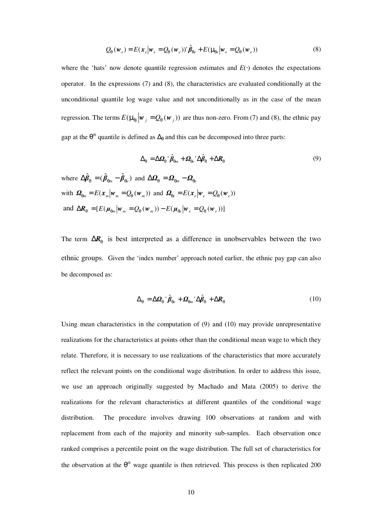$$
Q_{\theta}(\boldsymbol{w}_e) = E(\boldsymbol{x}_e | \boldsymbol{w}_e = Q_{\theta}(\boldsymbol{w}_e))' \hat{\boldsymbol{\beta}}_{\theta e} + E(\mu_{\theta e} | \boldsymbol{w}_e = Q_{\theta}(\boldsymbol{w}_e))
$$
(8)

where the 'hats' now denote quantile regression estimates and  $E(\cdot)$  denotes the expectations operator. In the expressions (7) and (8), the characteristics are evaluated conditionally at the unconditional quantile log wage value and not unconditionally as in the case of the mean regression. The terms  $E(\mu_{\theta j}|\mathbf{w}_j = Q_{\theta}(\mathbf{w}_j))$  are thus non-zero. From (7) and (8), the ethnic pay gap at the  $\theta^{th}$  quantile is defined as  $\Delta_{\theta}$  and this can be decomposed into three parts:

$$
\Delta_{\theta} = \Delta \Omega_{\theta}^{\dagger} \hat{\beta}_{\theta m} + \Omega_{\theta e}^{\dagger} \Delta \hat{\beta}_{\theta} + \Delta R_{\theta}
$$
\n(9)

where  $\Delta \hat{\beta}_\theta = (\hat{\beta}_{\theta m} - \hat{\beta}_{\theta e})$  and  $\Delta \Omega_\theta = \Omega_{\theta m} - \Omega_{\theta e}$ with  $\Omega_{0m} = E(x_m | w_m = Q_0(w_m))$  and  $\Omega_{0e} = E(x_e | w_e = Q_0(w_e))$ and  $\Delta R_{\theta} = [E(\mu_{\theta m} | \mathbf{w}_m = Q_{\theta}(\mathbf{w}_m)) - E(\mu_{\theta e} | \mathbf{w}_e = Q_{\theta}(\mathbf{w}_e))]$ 

The term  $\Delta R_{\theta}$  is best interpreted as a difference in unobservables between the two ethnic groups. Given the 'index number' approach noted earlier, the ethnic pay gap can also be decomposed as:

$$
\Delta_{\theta} = \Delta \Omega_{\theta}^{\dagger} \hat{\beta}_{\theta e} + \Omega_{\theta m}^{\dagger} \Delta \hat{\beta}_{\theta} + \Delta R_{\theta}
$$
\n(10)

Using mean characteristics in the computation of (9) and (10) may provide unrepresentative realizations for the characteristics at points other than the conditional mean wage to which they relate. Therefore, it is necessary to use realizations of the characteristics that more accurately reflect the relevant points on the conditional wage distribution. In order to address this issue, we use an approach originally suggested by Machado and Mata (2005) to derive the realizations for the relevant characteristics at different quantiles of the conditional wage distribution. The procedure involves drawing 100 observations at random and with replacement from each of the majority and minority sub-samples. Each observation once ranked comprises a percentile point on the wage distribution. The full set of characteristics for the observation at the  $\theta^{th}$  wage quantile is then retrieved. This process is then replicated 200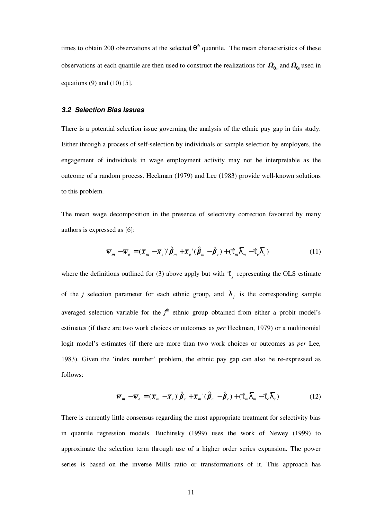times to obtain 200 observations at the selected  $\theta^{th}$  quantile. The mean characteristics of these observations at each quantile are then used to construct the realizations for  $\Omega_{\theta_m}$  and  $\Omega_{\theta_e}$  used in equations  $(9)$  and  $(10)$  [5].

#### *3.2 Selection Bias Issues*

There is a potential selection issue governing the analysis of the ethnic pay gap in this study. Either through a process of self-selection by individuals or sample selection by employers, the engagement of individuals in wage employment activity may not be interpretable as the outcome of a random process. Heckman (1979) and Lee (1983) provide well-known solutions to this problem.

The mean wage decomposition in the presence of selectivity correction favoured by many authors is expressed as [6]:

$$
\overline{w}_m - \overline{w}_e = (\overline{x}_m - \overline{x}_e)^\prime \hat{\beta}_m + \overline{x}_e^\prime (\hat{\beta}_m - \hat{\beta}_e) + (\hat{\tau}_m \overline{\lambda}_m - \hat{\tau}_e \overline{\lambda}_e) \tag{11}
$$

where the definitions outlined for (3) above apply but with  $\hat{\tau}_j$  representing the OLS estimate of the *j* selection parameter for each ethnic group, and  $\lambda_j$  is the corresponding sample averaged selection variable for the *j*<sup>th</sup> ethnic group obtained from either a probit model's estimates (if there are two work choices or outcomes as *per* Heckman, 1979) or a multinomial logit model's estimates (if there are more than two work choices or outcomes as *per* Lee, 1983). Given the 'index number' problem, the ethnic pay gap can also be re-expressed as follows:

$$
\overline{w}_m - \overline{w}_e = (\overline{x}_m - \overline{x}_e)^\dagger \hat{\beta}_e + \overline{x}_m^\dagger (\hat{\beta}_m - \hat{\beta}_e) + (\hat{\tau}_m \overline{\lambda}_m - \hat{\tau}_e \overline{\lambda}_e)
$$
(12)

There is currently little consensus regarding the most appropriate treatment for selectivity bias in quantile regression models. Buchinsky (1999) uses the work of Newey (1999) to approximate the selection term through use of a higher order series expansion. The power series is based on the inverse Mills ratio or transformations of it. This approach has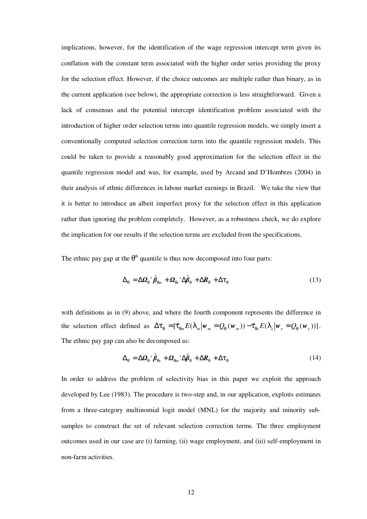implications, however, for the identification of the wage regression intercept term given its conflation with the constant term associated with the higher order series providing the proxy for the selection effect. However, if the choice outcomes are multiple rather than binary, as in the current application (see below), the appropriate correction is less straightforward. Given a lack of consensus and the potential intercept identification problem associated with the introduction of higher order selection terms into quantile regression models, we simply insert a conventionally computed selection correction term into the quantile regression models. This could be taken to provide a reasonably good approximation for the selection effect in the quantile regression model and was, for example, used by Arcand and D'Hombres (2004) in their analysis of ethnic differences in labour market earnings in Brazil. We take the view that it is better to introduce an albeit imperfect proxy for the selection effect in this application rather than ignoring the problem completely. However, as a robustness check, we do explore the implication for our results if the selection terms are excluded from the specifications.

The ethnic pay gap at the  $\theta^{th}$  quantile is thus now decomposed into four parts:

$$
\Delta_{\theta} = \Delta \Omega_{\theta}^{\dagger} \hat{\beta}_{\theta m} + \Omega_{\theta e}^{\dagger} \Delta \hat{\beta}_{\theta} + \Delta R_{\theta} + \Delta \tau_{\theta}
$$
\n(13)

with definitions as in (9) above, and where the fourth component represents the difference in the selection effect defined as  $\Delta \tau_{\theta} = [\hat{\tau}_{\theta m} E(\lambda_m | \mathbf{w}_m = Q_{\theta}(\mathbf{w}_m)) - \hat{\tau}_{\theta e} E(\lambda_e | \mathbf{w}_e = Q_{\theta}(\mathbf{w}_e))]$ . The ethnic pay gap can also be decomposed as:

$$
\Delta_{\theta} = \Delta \Omega_{\theta} \dot{\hat{\beta}}_{\theta e} + \Omega_{\theta m} \Delta \hat{\beta}_{\theta} + \Delta R_{\theta} + \Delta \tau_{\theta}
$$
 (14)

In order to address the problem of selectivity bias in this paper we exploit the approach developed by Lee (1983). The procedure is two-step and, in our application, exploits estimates from a three-category multinomial logit model (MNL) for the majority and minority subsamples to construct the set of relevant selection correction terms. The three employment outcomes used in our case are (i) farming, (ii) wage employment, and (iii) self-employment in non-farm activities.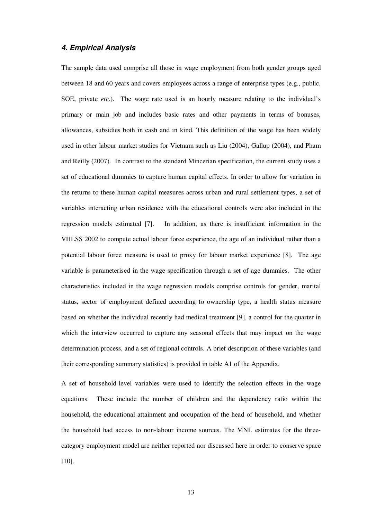# *4. Empirical Analysis*

The sample data used comprise all those in wage employment from both gender groups aged between 18 and 60 years and covers employees across a range of enterprise types (e.g., public, SOE, private *etc*.). The wage rate used is an hourly measure relating to the individual's primary or main job and includes basic rates and other payments in terms of bonuses, allowances, subsidies both in cash and in kind. This definition of the wage has been widely used in other labour market studies for Vietnam such as Liu (2004), Gallup (2004), and Pham and Reilly (2007). In contrast to the standard Mincerian specification, the current study uses a set of educational dummies to capture human capital effects. In order to allow for variation in the returns to these human capital measures across urban and rural settlement types, a set of variables interacting urban residence with the educational controls were also included in the regression models estimated [7]. In addition, as there is insufficient information in the VHLSS 2002 to compute actual labour force experience, the age of an individual rather than a potential labour force measure is used to proxy for labour market experience [8]. The age variable is parameterised in the wage specification through a set of age dummies. The other characteristics included in the wage regression models comprise controls for gender, marital status, sector of employment defined according to ownership type, a health status measure based on whether the individual recently had medical treatment [9], a control for the quarter in which the interview occurred to capture any seasonal effects that may impact on the wage determination process, and a set of regional controls. A brief description of these variables (and their corresponding summary statistics) is provided in table A1 of the Appendix.

A set of household-level variables were used to identify the selection effects in the wage equations. These include the number of children and the dependency ratio within the household, the educational attainment and occupation of the head of household, and whether the household had access to non-labour income sources. The MNL estimates for the threecategory employment model are neither reported nor discussed here in order to conserve space [10].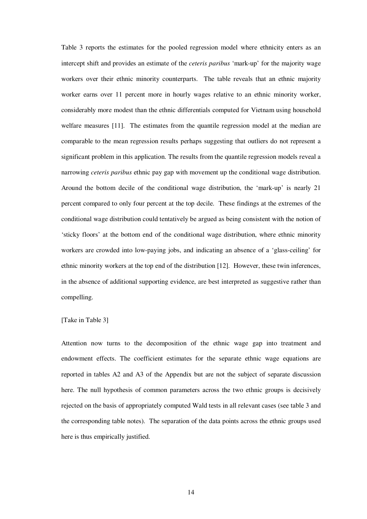Table 3 reports the estimates for the pooled regression model where ethnicity enters as an intercept shift and provides an estimate of the *ceteris paribus* 'mark-up' for the majority wage workers over their ethnic minority counterparts. The table reveals that an ethnic majority worker earns over 11 percent more in hourly wages relative to an ethnic minority worker, considerably more modest than the ethnic differentials computed for Vietnam using household welfare measures [11]. The estimates from the quantile regression model at the median are comparable to the mean regression results perhaps suggesting that outliers do not represent a significant problem in this application. The results from the quantile regression models reveal a narrowing *ceteris paribus* ethnic pay gap with movement up the conditional wage distribution. Around the bottom decile of the conditional wage distribution, the 'mark-up' is nearly 21 percent compared to only four percent at the top decile. These findings at the extremes of the conditional wage distribution could tentatively be argued as being consistent with the notion of 'sticky floors' at the bottom end of the conditional wage distribution, where ethnic minority workers are crowded into low-paying jobs, and indicating an absence of a 'glass-ceiling' for ethnic minority workers at the top end of the distribution [12]. However, these twin inferences, in the absence of additional supporting evidence, are best interpreted as suggestive rather than compelling.

## [Take in Table 3]

Attention now turns to the decomposition of the ethnic wage gap into treatment and endowment effects. The coefficient estimates for the separate ethnic wage equations are reported in tables A2 and A3 of the Appendix but are not the subject of separate discussion here. The null hypothesis of common parameters across the two ethnic groups is decisively rejected on the basis of appropriately computed Wald tests in all relevant cases (see table 3 and the corresponding table notes). The separation of the data points across the ethnic groups used here is thus empirically justified.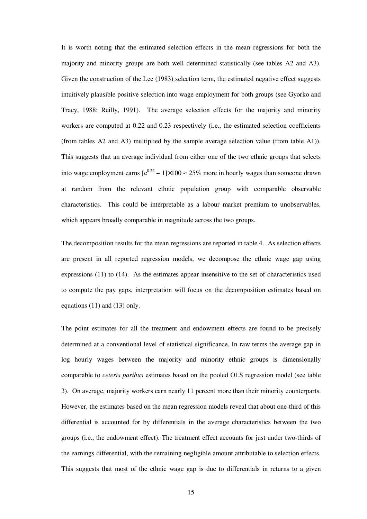It is worth noting that the estimated selection effects in the mean regressions for both the majority and minority groups are both well determined statistically (see tables A2 and A3). Given the construction of the Lee (1983) selection term, the estimated negative effect suggests intuitively plausible positive selection into wage employment for both groups (see Gyorko and Tracy, 1988; Reilly, 1991). The average selection effects for the majority and minority workers are computed at 0.22 and 0.23 respectively (i.e., the estimated selection coefficients (from tables A2 and A3) multiplied by the sample average selection value (from table A1)). This suggests that an average individual from either one of the two ethnic groups that selects into wage employment earns  $[e^{0.22} - 1] \times 100 \approx 25\%$  more in hourly wages than someone drawn at random from the relevant ethnic population group with comparable observable characteristics. This could be interpretable as a labour market premium to unobservables, which appears broadly comparable in magnitude across the two groups.

The decomposition results for the mean regressions are reported in table 4. As selection effects are present in all reported regression models, we decompose the ethnic wage gap using expressions (11) to (14). As the estimates appear insensitive to the set of characteristics used to compute the pay gaps, interpretation will focus on the decomposition estimates based on equations (11) and (13) only.

The point estimates for all the treatment and endowment effects are found to be precisely determined at a conventional level of statistical significance. In raw terms the average gap in log hourly wages between the majority and minority ethnic groups is dimensionally comparable to *ceteris paribus* estimates based on the pooled OLS regression model (see table 3). On average, majority workers earn nearly 11 percent more than their minority counterparts. However, the estimates based on the mean regression models reveal that about one-third of this differential is accounted for by differentials in the average characteristics between the two groups (i.e., the endowment effect). The treatment effect accounts for just under two-thirds of the earnings differential, with the remaining negligible amount attributable to selection effects. This suggests that most of the ethnic wage gap is due to differentials in returns to a given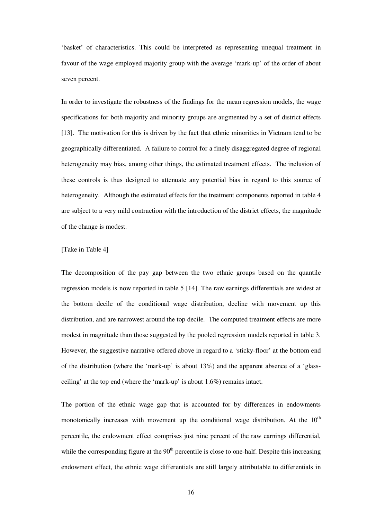'basket' of characteristics. This could be interpreted as representing unequal treatment in favour of the wage employed majority group with the average 'mark-up' of the order of about seven percent.

In order to investigate the robustness of the findings for the mean regression models, the wage specifications for both majority and minority groups are augmented by a set of district effects [13]. The motivation for this is driven by the fact that ethnic minorities in Vietnam tend to be geographically differentiated. A failure to control for a finely disaggregated degree of regional heterogeneity may bias, among other things, the estimated treatment effects. The inclusion of these controls is thus designed to attenuate any potential bias in regard to this source of heterogeneity. Although the estimated effects for the treatment components reported in table 4 are subject to a very mild contraction with the introduction of the district effects, the magnitude of the change is modest.

# [Take in Table 4]

The decomposition of the pay gap between the two ethnic groups based on the quantile regression models is now reported in table 5 [14]. The raw earnings differentials are widest at the bottom decile of the conditional wage distribution, decline with movement up this distribution, and are narrowest around the top decile. The computed treatment effects are more modest in magnitude than those suggested by the pooled regression models reported in table 3. However, the suggestive narrative offered above in regard to a 'sticky-floor' at the bottom end of the distribution (where the 'mark-up' is about 13%) and the apparent absence of a 'glassceiling' at the top end (where the 'mark-up' is about 1.6%) remains intact.

The portion of the ethnic wage gap that is accounted for by differences in endowments monotonically increases with movement up the conditional wage distribution. At the  $10<sup>th</sup>$ percentile, the endowment effect comprises just nine percent of the raw earnings differential, while the corresponding figure at the  $90<sup>th</sup>$  percentile is close to one-half. Despite this increasing endowment effect, the ethnic wage differentials are still largely attributable to differentials in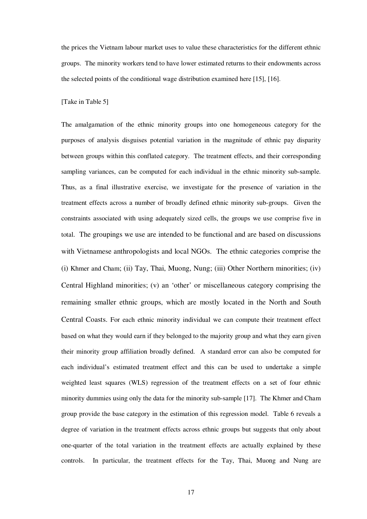the prices the Vietnam labour market uses to value these characteristics for the different ethnic groups. The minority workers tend to have lower estimated returns to their endowments across the selected points of the conditional wage distribution examined here [15], [16].

#### [Take in Table 5]

The amalgamation of the ethnic minority groups into one homogeneous category for the purposes of analysis disguises potential variation in the magnitude of ethnic pay disparity between groups within this conflated category. The treatment effects, and their corresponding sampling variances, can be computed for each individual in the ethnic minority sub-sample. Thus, as a final illustrative exercise, we investigate for the presence of variation in the treatment effects across a number of broadly defined ethnic minority sub-groups. Given the constraints associated with using adequately sized cells, the groups we use comprise five in total. The groupings we use are intended to be functional and are based on discussions with Vietnamese anthropologists and local NGOs. The ethnic categories comprise the (i) Khmer and Cham; (ii) Tay, Thai, Muong, Nung; (iii) Other Northern minorities; (iv) Central Highland minorities; (v) an 'other' or miscellaneous category comprising the remaining smaller ethnic groups, which are mostly located in the North and South Central Coasts. For each ethnic minority individual we can compute their treatment effect based on what they would earn if they belonged to the majority group and what they earn given their minority group affiliation broadly defined. A standard error can also be computed for each individual's estimated treatment effect and this can be used to undertake a simple weighted least squares (WLS) regression of the treatment effects on a set of four ethnic minority dummies using only the data for the minority sub-sample [17]. The Khmer and Cham group provide the base category in the estimation of this regression model. Table 6 reveals a degree of variation in the treatment effects across ethnic groups but suggests that only about one-quarter of the total variation in the treatment effects are actually explained by these controls. In particular, the treatment effects for the Tay, Thai, Muong and Nung are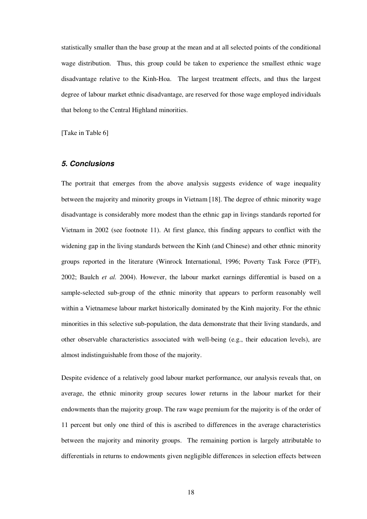statistically smaller than the base group at the mean and at all selected points of the conditional wage distribution. Thus, this group could be taken to experience the smallest ethnic wage disadvantage relative to the Kinh-Hoa. The largest treatment effects, and thus the largest degree of labour market ethnic disadvantage, are reserved for those wage employed individuals that belong to the Central Highland minorities.

[Take in Table 6]

# *5. Conclusions*

The portrait that emerges from the above analysis suggests evidence of wage inequality between the majority and minority groups in Vietnam [18]. The degree of ethnic minority wage disadvantage is considerably more modest than the ethnic gap in livings standards reported for Vietnam in 2002 (see footnote 11). At first glance, this finding appears to conflict with the widening gap in the living standards between the Kinh (and Chinese) and other ethnic minority groups reported in the literature (Winrock International, 1996; Poverty Task Force (PTF), 2002; Baulch *et al.* 2004). However, the labour market earnings differential is based on a sample-selected sub-group of the ethnic minority that appears to perform reasonably well within a Vietnamese labour market historically dominated by the Kinh majority. For the ethnic minorities in this selective sub-population, the data demonstrate that their living standards, and other observable characteristics associated with well-being (e.g., their education levels), are almost indistinguishable from those of the majority.

Despite evidence of a relatively good labour market performance, our analysis reveals that, on average, the ethnic minority group secures lower returns in the labour market for their endowments than the majority group. The raw wage premium for the majority is of the order of 11 percent but only one third of this is ascribed to differences in the average characteristics between the majority and minority groups. The remaining portion is largely attributable to differentials in returns to endowments given negligible differences in selection effects between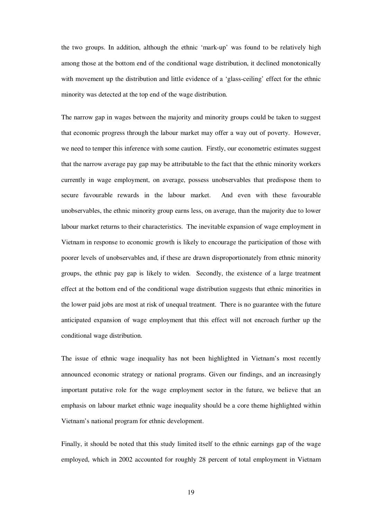the two groups. In addition, although the ethnic 'mark-up' was found to be relatively high among those at the bottom end of the conditional wage distribution, it declined monotonically with movement up the distribution and little evidence of a 'glass-ceiling' effect for the ethnic minority was detected at the top end of the wage distribution.

The narrow gap in wages between the majority and minority groups could be taken to suggest that economic progress through the labour market may offer a way out of poverty. However, we need to temper this inference with some caution. Firstly, our econometric estimates suggest that the narrow average pay gap may be attributable to the fact that the ethnic minority workers currently in wage employment, on average, possess unobservables that predispose them to secure favourable rewards in the labour market. And even with these favourable unobservables, the ethnic minority group earns less, on average, than the majority due to lower labour market returns to their characteristics. The inevitable expansion of wage employment in Vietnam in response to economic growth is likely to encourage the participation of those with poorer levels of unobservables and, if these are drawn disproportionately from ethnic minority groups, the ethnic pay gap is likely to widen. Secondly, the existence of a large treatment effect at the bottom end of the conditional wage distribution suggests that ethnic minorities in the lower paid jobs are most at risk of unequal treatment. There is no guarantee with the future anticipated expansion of wage employment that this effect will not encroach further up the conditional wage distribution.

The issue of ethnic wage inequality has not been highlighted in Vietnam's most recently announced economic strategy or national programs. Given our findings, and an increasingly important putative role for the wage employment sector in the future, we believe that an emphasis on labour market ethnic wage inequality should be a core theme highlighted within Vietnam's national program for ethnic development.

Finally, it should be noted that this study limited itself to the ethnic earnings gap of the wage employed, which in 2002 accounted for roughly 28 percent of total employment in Vietnam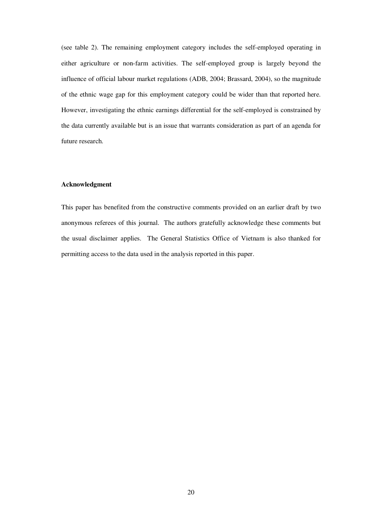(see table 2). The remaining employment category includes the self-employed operating in either agriculture or non-farm activities. The self-employed group is largely beyond the influence of official labour market regulations (ADB, 2004; Brassard, 2004), so the magnitude of the ethnic wage gap for this employment category could be wider than that reported here. However, investigating the ethnic earnings differential for the self-employed is constrained by the data currently available but is an issue that warrants consideration as part of an agenda for future research.

#### **Acknowledgment**

This paper has benefited from the constructive comments provided on an earlier draft by two anonymous referees of this journal. The authors gratefully acknowledge these comments but the usual disclaimer applies. The General Statistics Office of Vietnam is also thanked for permitting access to the data used in the analysis reported in this paper.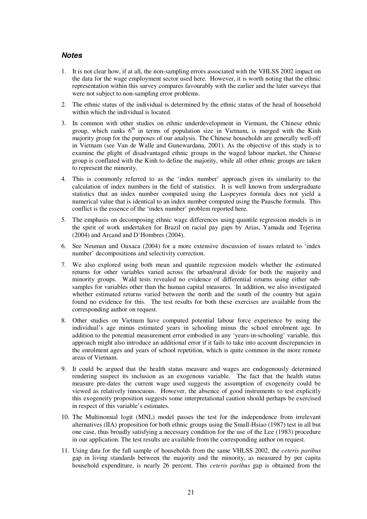# *Notes*

- 1. It is not clear how, if at all, the non-sampling errors associated with the VHLSS 2002 impact on the data for the wage employment sector used here. However, it is worth noting that the ethnic representation within this survey compares favourably with the earlier and the later surveys that were not subject to non-sampling error problems.
- 2. The ethnic status of the individual is determined by the ethnic status of the head of household within which the individual is located.
- 3. In common with other studies on ethnic underdevelopment in Vietnam, the Chinese ethnic group, which ranks  $6<sup>th</sup>$  in terms of population size in Vietnam, is merged with the Kinh majority group for the purposes of our analysis. The Chinese households are generally well-off in Vietnam (see Van de Walle and Gunewardana, 2001). As the objective of this study is to examine the plight of disadvantaged ethnic groups in the waged labour market, the Chinese group is conflated with the Kinh to define the majority, while all other ethnic groups are taken to represent the minority.
- 4. This is commonly referred to as the 'index number' approach given its similarity to the calculation of index numbers in the field of statistics. It is well known from undergraduate statistics that an index number computed using the Laspeyres formula does not yield a numerical value that is identical to an index number computed using the Paasche formula. This conflict is the essence of the 'index number' problem reported here.
- 5. The emphasis on decomposing ethnic wage differences using quantile regression models is in the spirit of work undertaken for Brazil on racial pay gaps by Arias, Yamada and Tejerina (2004) and Arcand and D'Hombres (2004).
- 6. See Neuman and Oaxaca (2004) for a more extensive discussion of issues related to 'index number' decompositions and selectivity correction.
- 7. We also explored using both mean and quantile regression models whether the estimated returns for other variables varied across the urban/rural divide for both the majority and minority groups. Wald tests revealed no evidence of differential returns using either subsamples for variables other than the human capital measures. In addition, we also investigated whether estimated returns varied between the north and the south of the country but again found no evidence for this. The test results for both these exercises are available from the corresponding author on request.
- 8. Other studies on Vietnam have computed potential labour force experience by using the individual's age minus estimated years in schooling minus the school enrolment age. In addition to the potential measurement error embodied in any 'years-in-schooling' variable, this approach might also introduce an additional error if it fails to take into account discrepancies in the enrolment ages and years of school repetition, which is quite common in the more remote areas of Vietnam.
- 9. It could be argued that the health status measure and wages are endogenously determined rendering suspect its inclusion as an exogenous variable. The fact that the health status measure pre-dates the current wage used suggests the assumption of exogeneity could be viewed as relatively innocuous. However, the absence of good instruments to test explicitly this exogeneity proposition suggests some interpretational caution should perhaps be exercised in respect of this variable's estimates.
- 10. The Multinomial logit (MNL) model passes the test for the independence from irrelevant alternatives (IIA) proposition for both ethnic groups using the Small-Hsiao (1987) test in all but one case, thus broadly satisfying a necessary condition for the use of the Lee (1983) procedure in our application. The test results are available from the corresponding author on request.
- 11. Using data for the full sample of households from the same VHLSS 2002, the *ceteris paribus* gap in living standards between the majority and the minority, as measured by per capita household expenditure, is nearly 26 percent. This *ceteris paribus* gap is obtained from the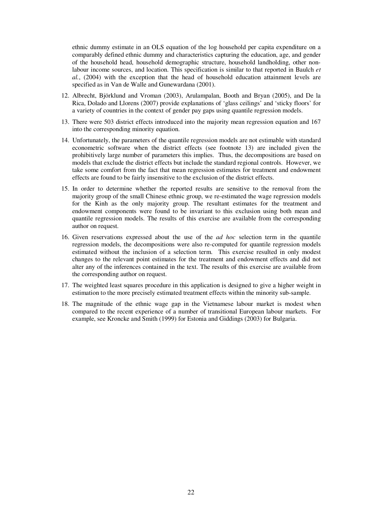ethnic dummy estimate in an OLS equation of the log household per capita expenditure on a comparably defined ethnic dummy and characteristics capturing the education, age, and gender of the household head, household demographic structure, household landholding, other nonlabour income sources, and location. This specification is similar to that reported in Baulch *et al.*, (2004) with the exception that the head of household education attainment levels are specified as in Van de Walle and Gunewardana (2001).

- 12. Albrecht, Björklund and Vroman (2003), Arulampalan, Booth and Bryan (2005), and De la Rica, Dolado and Llorens (2007) provide explanations of 'glass ceilings' and 'sticky floors' for a variety of countries in the context of gender pay gaps using quantile regression models.
- 13. There were 503 district effects introduced into the majority mean regression equation and 167 into the corresponding minority equation.
- 14. Unfortunately, the parameters of the quantile regression models are not estimable with standard econometric software when the district effects (see footnote 13) are included given the prohibitively large number of parameters this implies. Thus, the decompositions are based on models that exclude the district effects but include the standard regional controls. However, we take some comfort from the fact that mean regression estimates for treatment and endowment effects are found to be fairly insensitive to the exclusion of the district effects.
- 15. In order to determine whether the reported results are sensitive to the removal from the majority group of the small Chinese ethnic group, we re-estimated the wage regression models for the Kinh as the only majority group. The resultant estimates for the treatment and endowment components were found to be invariant to this exclusion using both mean and quantile regression models. The results of this exercise are available from the corresponding author on request.
- 16. Given reservations expressed about the use of the *ad hoc* selection term in the quantile regression models, the decompositions were also re-computed for quantile regression models estimated without the inclusion of a selection term. This exercise resulted in only modest changes to the relevant point estimates for the treatment and endowment effects and did not alter any of the inferences contained in the text. The results of this exercise are available from the corresponding author on request.
- 17. The weighted least squares procedure in this application is designed to give a higher weight in estimation to the more precisely estimated treatment effects within the minority sub-sample.
- 18. The magnitude of the ethnic wage gap in the Vietnamese labour market is modest when compared to the recent experience of a number of transitional European labour markets. For example, see Kroncke and Smith (1999) for Estonia and Giddings (2003) for Bulgaria.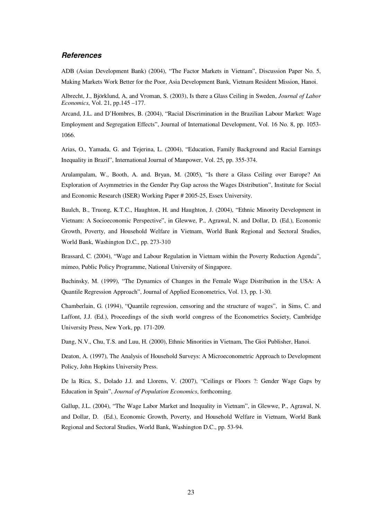# *References*

ADB (Asian Development Bank) (2004), "The Factor Markets in Vietnam", Discussion Paper No. 5, Making Markets Work Better for the Poor, Asia Development Bank, Vietnam Resident Mission, Hanoi.

Albrecht, J., Björklund, A, and Vroman, S. (2003), Is there a Glass Ceiling in Sweden, *Journal of Labor Economics*, Vol. 21, pp.145 –177.

Arcand, J.L. and D'Hombres, B. (2004), "Racial Discrimination in the Brazilian Labour Market: Wage Employment and Segregation Effects", Journal of International Development, Vol. 16 No. 8, pp. 1053- 1066.

Arias, O., Yamada, G. and Tejerina, L. (2004), "Education, Family Background and Racial Earnings Inequality in Brazil", International Journal of Manpower, Vol. 25, pp. 355-374.

Arulampalam, W., Booth, A. and. Bryan, M. (2005), "Is there a Glass Ceiling over Europe? An Exploration of Asymmetries in the Gender Pay Gap across the Wages Distribution", Institute for Social and Economic Research (ISER) Working Paper # 2005-25, Essex University.

Baulch, B., Truong, K.T.C., Haughton, H. and Haughton, J. (2004), "Ethnic Minority Development in Vietnam: A Socioeconomic Perspective", in Glewwe, P., Agrawal, N. and Dollar, D. (Ed.), Economic Growth, Poverty, and Household Welfare in Vietnam, World Bank Regional and Sectoral Studies, World Bank, Washington D.C., pp. 273-310

Brassard, C. (2004), "Wage and Labour Regulation in Vietnam within the Poverty Reduction Agenda", mimeo, Public Policy Programme, National University of Singapore.

Buchinsky, M. (1999), "The Dynamics of Changes in the Female Wage Distribution in the USA: A Quantile Regression Approach", Journal of Applied Econometrics, Vol. 13, pp. 1-30.

Chamberlain, G. (1994), "Quantile regression, censoring and the structure of wages", in Sims, C. and Laffont, J.J. (Ed.), Proceedings of the sixth world congress of the Econometrics Society, Cambridge University Press, New York, pp. 171-209.

Dang, N.V., Chu, T.S. and Luu, H. (2000), Ethnic Minorities in Vietnam, The Gioi Publisher, Hanoi.

Deaton, A. (1997), The Analysis of Household Surveys: A Microeconometric Approach to Development Policy, John Hopkins University Press.

De la Rica, S., Dolado J.J. and Llorens, V. (2007), "Ceilings or Floors ?: Gender Wage Gaps by Education in Spain", *Journal of Population Economics*, forthcoming.

Gallup, J.L. (2004), "The Wage Labor Market and Inequality in Vietnam", in Glewwe, P., Agrawal, N. and Dollar, D. (Ed.), Economic Growth, Poverty, and Household Welfare in Vietnam, World Bank Regional and Sectoral Studies, World Bank, Washington D.C., pp. 53-94.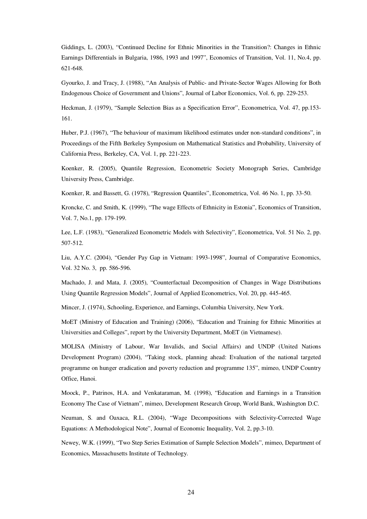Giddings, L. (2003), "Continued Decline for Ethnic Minorities in the Transition?: Changes in Ethnic Earnings Differentials in Bulgaria, 1986, 1993 and 1997", Economics of Transition, Vol. 11, No.4, pp. 621-648.

Gyourko, J. and Tracy, J. (1988), "An Analysis of Public- and Private-Sector Wages Allowing for Both Endogenous Choice of Government and Unions", Journal of Labor Economics, Vol. 6, pp. 229-253.

Heckman, J. (1979), "Sample Selection Bias as a Specification Error", Econometrica, Vol. 47, pp.153- 161.

Huber, P.J. (1967), "The behaviour of maximum likelihood estimates under non-standard conditions", in Proceedings of the Fifth Berkeley Symposium on Mathematical Statistics and Probability, University of California Press, Berkeley, CA, Vol. 1, pp. 221-223.

Koenker, R. (2005), Quantile Regression, Econometric Society Monograph Series, Cambridge University Press, Cambridge.

Koenker, R. and Bassett, G. (1978), "Regression Quantiles", Econometrica, Vol. 46 No. 1, pp. 33-50.

Kroncke, C. and Smith, K. (1999), "The wage Effects of Ethnicity in Estonia", Economics of Transition, Vol. 7, No.1, pp. 179-199.

Lee, L.F. (1983), "Generalized Econometric Models with Selectivity", Econometrica, Vol. 51 No. 2, pp. 507-512.

Liu, A.Y.C. (2004), "Gender Pay Gap in Vietnam: 1993-1998", Journal of Comparative Economics, Vol. 32 No. 3, pp. 586-596.

Machado, J. and Mata, J. (2005), "Counterfactual Decomposition of Changes in Wage Distributions Using Quantile Regression Models", Journal of Applied Econometrics, Vol. 20, pp. 445-465.

Mincer, J. (1974), Schooling, Experience, and Earnings, Columbia University, New York.

MoET (Ministry of Education and Training) (2006), "Education and Training for Ethnic Minorities at Universities and Colleges", report by the University Department, MoET (in Vietnamese).

MOLISA (Ministry of Labour, War Invalids, and Social Affairs) and UNDP (United Nations Development Program) (2004), "Taking stock, planning ahead: Evaluation of the national targeted programme on hunger eradication and poverty reduction and programme 135", mimeo, UNDP Country Office, Hanoi.

Moock, P., Patrinos, H.A. and Venkataraman, M. (1998), "Education and Earnings in a Transition Economy The Case of Vietnam", mimeo, Development Research Group, World Bank, Washington D.C.

Neuman, S. and Oaxaca, R.L. (2004), "Wage Decompositions with Selectivity-Corrected Wage Equations: A Methodological Note", Journal of Economic Inequality, Vol. 2, pp.3-10.

Newey, W.K. (1999), "Two Step Series Estimation of Sample Selection Models", mimeo, Department of Economics, Massachusetts Institute of Technology.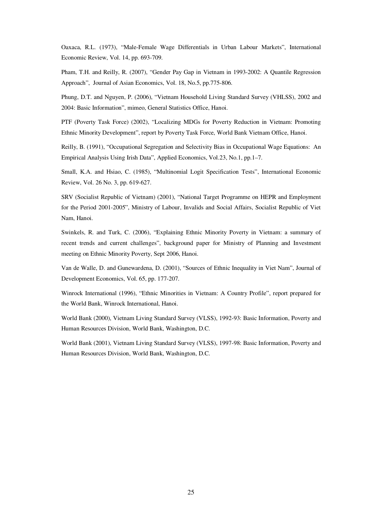Oaxaca, R.L. (1973), "Male-Female Wage Differentials in Urban Labour Markets", International Economic Review, Vol. 14, pp. 693-709.

Pham, T.H. and Reilly, R. (2007), "Gender Pay Gap in Vietnam in 1993-2002: A Quantile Regression Approach", Journal of Asian Economics, Vol. 18, No.5, pp.775-806.

Phung, D.T. and Nguyen, P. (2006), "Vietnam Household Living Standard Survey (VHLSS), 2002 and 2004: Basic Information", mimeo, General Statistics Office, Hanoi.

PTF (Poverty Task Force) (2002), "Localizing MDGs for Poverty Reduction in Vietnam: Promoting Ethnic Minority Development", report by Poverty Task Force, World Bank Vietnam Office, Hanoi.

Reilly, B. (1991), "Occupational Segregation and Selectivity Bias in Occupational Wage Equations: An Empirical Analysis Using Irish Data", Applied Economics, Vol.23, No.1, pp.1–7.

Small, K.A. and Hsiao, C. (1985), "Multinomial Logit Specification Tests", International Economic Review, Vol. 26 No. 3, pp. 619-627.

SRV (Socialist Republic of Vietnam) (2001), "National Target Programme on HEPR and Employment for the Period 2001-2005", Ministry of Labour, Invalids and Social Affairs, Socialist Republic of Viet Nam, Hanoi.

Swinkels, R. and Turk, C. (2006), "Explaining Ethnic Minority Poverty in Vietnam: a summary of recent trends and current challenges", background paper for Ministry of Planning and Investment meeting on Ethnic Minority Poverty, Sept 2006, Hanoi.

Van de Walle, D. and Gunewardena, D. (2001), "Sources of Ethnic Inequality in Viet Nam", Journal of Development Economics, Vol. 65, pp. 177-207.

Winrock International (1996), "Ethnic Minorities in Vietnam: A Country Profile", report prepared for the World Bank, Winrock International, Hanoi.

World Bank (2000), Vietnam Living Standard Survey (VLSS), 1992-93: Basic Information, Poverty and Human Resources Division, World Bank, Washington, D.C.

World Bank (2001), Vietnam Living Standard Survey (VLSS), 1997-98: Basic Information, Poverty and Human Resources Division, World Bank, Washington, D.C.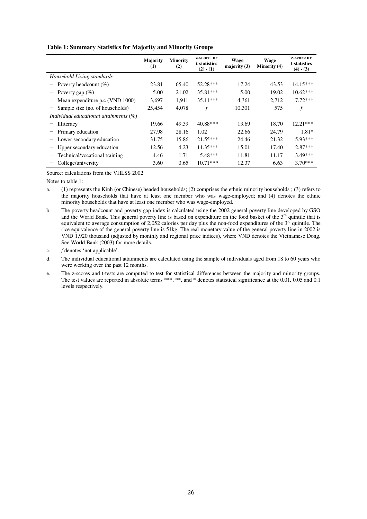|                                           | <b>Majority</b><br>(1) | <b>Minority</b><br>(2) | z-score or<br>t-statistics<br>$(2) - (1)$ | <b>Wage</b><br>majority $(3)$ | Wage<br>Minority (4) | z-score or<br>t-statistics<br>$(4) - (3)$ |
|-------------------------------------------|------------------------|------------------------|-------------------------------------------|-------------------------------|----------------------|-------------------------------------------|
| Household Living standards                |                        |                        |                                           |                               |                      |                                           |
| Poverty headcount $(\%)$                  | 23.81                  | 65.40                  | 52.28***                                  | 17.24                         | 43.53                | $14.15***$                                |
| Poverty gap $(\% )$                       | 5.00                   | 21.02                  | $35.81***$                                | 5.00                          | 19.02                | $10.62***$                                |
| Mean expenditure p.c (VND 1000)           | 3,697                  | 1,911                  | $35.11***$                                | 4,361                         | 2,712                | $7.72***$                                 |
| Sample size (no. of households)           | 25.454                 | 4,078                  | $\mathbf f$                               | 10,301                        | 575                  | f                                         |
| Individual educational attainments $(\%)$ |                        |                        |                                           |                               |                      |                                           |
| <b>Illiteracy</b>                         | 19.66                  | 49.39                  | 40.88***                                  | 13.69                         | 18.70                | $12.21***$                                |
| Primary education                         | 27.98                  | 28.16                  | 1.02                                      | 22.66                         | 24.79                | $1.81*$                                   |
| Lower secondary education                 | 31.75                  | 15.86                  | $21.55***$                                | 24.46                         | 21.32                | $5.93***$                                 |
| Upper secondary education                 | 12.56                  | 4.23                   | $11.35***$                                | 15.01                         | 17.40                | $2.87***$                                 |
| Technical/vocational training             | 4.46                   | 1.71                   | $5.48***$                                 | 11.81                         | 11.17                | $3.49***$                                 |
| College/university                        | 3.60                   | 0.65                   | $10.71***$                                | 12.37                         | 6.63                 | $3.70***$                                 |

Source: calculations from the VHLSS 2002

Notes to table 1:

a. (1) represents the Kinh (or Chinese) headed households; (2) comprises the ethnic minority households ; (3) refers to the majority households that have at least one member who was wage-employed; and (4) denotes the ethnic minority households that have at least one member who was wage-employed.

b. The poverty headcount and poverty gap index is calculated using the 2002 general poverty line developed by GSO and the World Bank. This general poverty line is based on expenditure on the food basket of the  $3<sup>rd</sup>$  quintile that is equivalent to average consumption of 2,052 calories per day plus the non-food expenditures of the  $3<sup>rd</sup>$  quintile. The rice equivalence of the general poverty line is 51kg. The real monetary value of the general poverty line in 2002 is VND 1,920 thousand (adjusted by monthly and regional price indices), where VND denotes the Vietnamese Dong. See World Bank (2003) for more details.

c. *f* denotes 'not applicable'.

d. The individual educational attainments are calculated using the sample of individuals aged from 18 to 60 years who were working over the past 12 months.

e. The z-scores and t-tests are computed to test for statistical differences between the majority and minority groups. The test values are reported in absolute terms \*\*\*, \*\*, and \* denotes statistical significance at the 0.01, 0.05 and 0.1 levels respectively.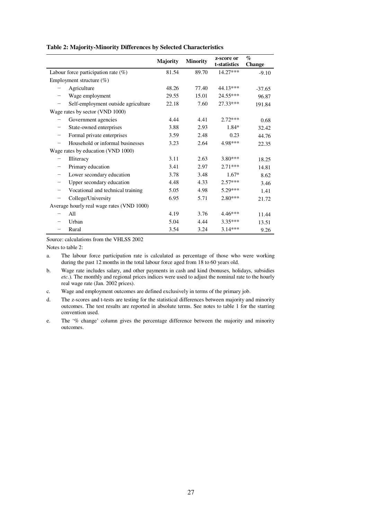|  |  |  |  |  | Table 2: Majority-Minority Differences by Selected Characteristics |
|--|--|--|--|--|--------------------------------------------------------------------|
|--|--|--|--|--|--------------------------------------------------------------------|

|                          |                                           | Majority<br><b>Minority</b> |       | z-score or   | $\%$     |
|--------------------------|-------------------------------------------|-----------------------------|-------|--------------|----------|
|                          |                                           |                             |       | t-statistics | Change   |
|                          | Labour force participation rate $(\%)$    | 81.54                       | 89.70 | $14.27***$   | $-9.10$  |
|                          | Employment structure $(\%)$               |                             |       |              |          |
|                          | Agriculture                               | 48.26                       | 77.40 | 44.13***     | $-37.65$ |
|                          | Wage employment                           | 29.55                       | 15.01 | $24.55***$   | 96.87    |
|                          | Self-employment outside agriculture       | 22.18                       | 7.60  | 27.33***     | 191.84   |
|                          | Wage rates by sector (VND 1000)           |                             |       |              |          |
|                          | Government agencies                       | 4.44                        | 4.41  | $2.72***$    | 0.68     |
| $\qquad \qquad -$        | State-owned enterprises                   | 3.88                        | 2.93  | $1.84*$      | 32.42    |
|                          | Formal private enterprises                | 3.59                        | 2.48  | 0.23         | 44.76    |
|                          | Household or informal businesses          | 3.23                        | 2.64  | 4.98***      | 22.35    |
|                          | Wage rates by education (VND 1000)        |                             |       |              |          |
| $\qquad \qquad -$        | <b>Illiteracy</b>                         | 3.11                        | 2.63  | $3.80***$    | 18.25    |
| $\qquad \qquad -$        | Primary education                         | 3.41                        | 2.97  | $2.71***$    | 14.81    |
| —                        | Lower secondary education                 | 3.78                        | 3.48  | $1.67*$      | 8.62     |
| $\overline{\phantom{0}}$ | Upper secondary education                 | 4.48                        | 4.33  | $2.57***$    | 3.46     |
| $\overline{\phantom{0}}$ | Vocational and technical training         | 5.05                        | 4.98  | 5.29***      | 1.41     |
| —                        | College/University                        | 6.95                        | 5.71  | $2.80***$    | 21.72    |
|                          | Average hourly real wage rates (VND 1000) |                             |       |              |          |
|                          | A11                                       | 4.19                        | 3.76  | $4.46***$    | 11.44    |
|                          | Urban                                     | 5.04                        | 4.44  | $3.35***$    | 13.51    |
|                          | Rural                                     | 3.54                        | 3.24  | $3.14***$    | 9.26     |

Source: calculations from the VHLSS 2002

Notes to table 2:

- a. The labour force participation rate is calculated as percentage of those who were working during the past 12 months in the total labour force aged from 18 to 60 years old.
- b. Wage rate includes salary, and other payments in cash and kind (bonuses, holidays, subsidies *etc.*). The monthly and regional prices indices were used to adjust the nominal rate to the hourly real wage rate (Jan. 2002 prices).

c. Wage and employment outcomes are defined exclusively in terms of the primary job.

- d. The z-scores and t-tests are testing for the statistical differences between majority and minority outcomes. The test results are reported in absolute terms. See notes to table 1 for the starring convention used.
- e. The '% change' column gives the percentage difference between the majority and minority outcomes.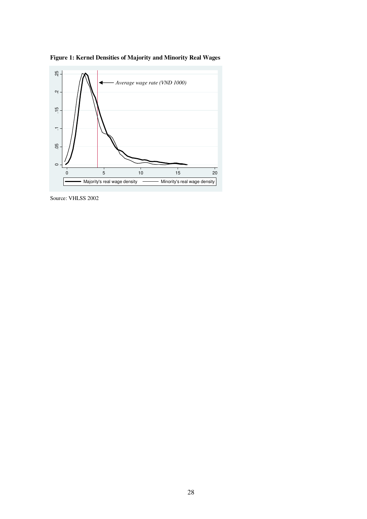**Figure 1: Kernel Densities of Majority and Minority Real Wages** 



Source: VHLSS 2002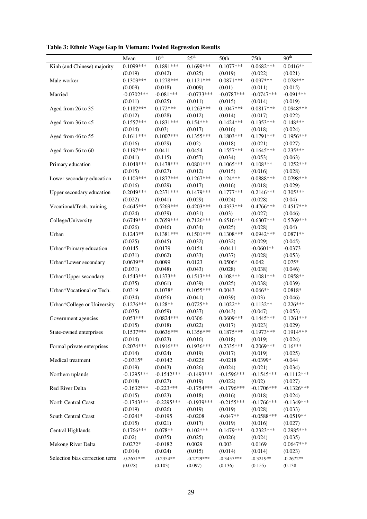|                                | Mean                   | 10 <sup>th</sup>     | $25^{\overline{\text{th}}}$ | 50th                   | 75th         | 90 <sup>th</sup>      |
|--------------------------------|------------------------|----------------------|-----------------------------|------------------------|--------------|-----------------------|
| Kinh (and Chinese) majority    | 0.1099***              | $0.1891***$          | $0.1699***$                 | $0.1077***$            | $0.0682***$  | $0.0416**$            |
|                                | (0.019)                | (0.042)              | (0.025)                     | (0.019)                | (0.022)      | (0.021)               |
| Male worker                    | $0.1303***$            | $0.1278***$          | $0.1121***$                 | $0.0871***$            | $0.097***$   | $0.078***$            |
|                                | (0.009)                | (0.018)              | (0.009)                     | (0.01)                 | (0.011)      | (0.015)               |
| Married                        | $-0.0702***$           | $-0.081***$          | $-0.0733***$                | $-0.0787***$           | $-0.0747***$ | $-0.091***$           |
|                                | (0.011)                | (0.025)              | (0.011)                     | (0.015)                | (0.014)      | (0.019)               |
| Aged from 26 to 35             | $0.1182***$            | $0.172***$           | $0.1263***$                 | $0.1047***$            | $0.0817***$  | $0.0948***$           |
|                                | (0.012)                | (0.028)              | (0.012)                     | (0.014)                | (0.017)      | (0.022)               |
| Aged from 36 to 45             | $0.1557***$            | $0.1831***$          | $0.154***$                  | $0.1424***$            | $0.1353***$  | $0.148***$            |
|                                | (0.014)                | (0.03)               | (0.017)                     | (0.016)                | (0.018)      | (0.024)               |
| Aged from 46 to 55             | $0.1611***$            | $0.1007***$          | $0.1355***$                 | $0.1803***$            | $0.1791***$  | $0.1956***$           |
|                                | (0.016)                | (0.029)              | (0.02)                      | (0.018)                | (0.021)      | (0.027)               |
| Aged from 56 to 60             | $0.1197***$            | 0.0411               | 0.0454                      | $0.1557***$            | $0.1645***$  | $0.235***$            |
|                                | (0.041)                | (0.115)              | (0.057)                     | (0.034)                | (0.053)      | (0.063)               |
| Primary education              | $0.1048***$            | $0.1478***$          | $0.0801***$                 | $0.1065***$            | $0.108***$   | $0.1252***$           |
|                                | (0.015)                | (0.027)              | (0.012)                     | (0.015)                | (0.016)      | (0.028)               |
| Lower secondary education      | $0.1103***$            | $0.1877***$          | $0.1267***$                 | $0.124***$             | 0.0888***    | $0.0798***$           |
|                                | (0.016)                | (0.029)              | (0.017)                     | (0.016)                | (0.018)      | (0.029)               |
| Upper secondary education      | 0.2049***              | $0.2371***$          | $0.1479***$                 | $0.1777***$            | $0.2146***$  | $0.305***$            |
|                                |                        |                      | (0.029)                     |                        | (0.028)      |                       |
| Vocational/Tech. training      | (0.022)<br>$0.4645***$ | (0.041)<br>0.5269*** | $0.4203***$                 | (0.024)<br>$0.4333***$ | 0.4766***    | (0.04)<br>$0.4517***$ |
|                                |                        | (0.039)              | (0.031)                     | (0.03)                 | (0.027)      | (0.046)               |
|                                | (0.024)<br>$0.6749***$ | 0.7659***            | $0.7126***$                 | $0.6516***$            | $0.6307***$  | $0.5769***$           |
| College/University             |                        |                      |                             |                        |              |                       |
|                                | (0.026)                | (0.046)              | (0.034)                     | (0.025)                | (0.028)      | (0.04)                |
| Urban                          | $0.1243**$             | $0.1381***$          | $0.1501***$                 | $0.1308***$            | $0.0942***$  | $0.0871**$            |
|                                | (0.025)                | (0.045)              | (0.032)                     | (0.032)                | (0.029)      | (0.045)               |
| Urban*Primary education        | 0.0145                 | 0.0179               | 0.0154                      | $-0.0411$              | $-0.0601**$  | $-0.0373$             |
|                                | (0.031)                | (0.062)              | (0.033)                     | (0.037)                | (0.028)      | (0.053)               |
| Urban*Lower secondary          | $0.0639**$             | 0.0099               | 0.0123                      | $0.0506*$              | 0.042        | $0.075*$              |
|                                | (0.031)                | (0.048)              | (0.043)                     | (0.028)                | (0.038)      | (0.046)               |
| Urban*Upper secondary          | $0.1543***$            | $0.1373**$           | $0.1513***$                 | $0.108***$             | $0.1081***$  | $0.0958**$            |
|                                | (0.035)                | (0.061)              | (0.039)                     | (0.025)                | (0.038)      | (0.039)               |
| Urban*Vocational or Tech.      | 0.0319                 | $0.1078*$            | $0.1055***$                 | 0.0043                 | $0.066**$    | $0.0818*$             |
|                                | (0.034)                | (0.056)              | (0.041)                     | (0.039)                | (0.03)       | (0.046)               |
| Urban*College or University    | $0.1276***$            | $0.128**$            | $0.0725**$                  | $0.1022**$             | $0.1132**$   | $0.226***$            |
|                                | (0.035)                | (0.059)              | (0.037)                     | (0.043)                | (0.047)      | (0.053)               |
| Government agencies            | $0.053***$             | $0.0824***$          | 0.0306                      | $0.0609***$            | $0.1445***$  | $0.1261***$           |
|                                | (0.015)                | (0.018)              | (0.022)                     | (0.017)                | (0.023)      | (0.029)               |
| State-owned enterprises        | $0.1537***$            | $0.0636***$          | $0.1356***$                 | $0.1875***$            | $0.1973***$  | $0.1914***$           |
|                                | (0.014)                | (0.023)              | (0.016)                     | (0.018)                | (0.019)      | (0.024)               |
| Formal private enterprises     | $0.2074***$            | $0.1916***$          | $0.1936***$                 | $0.2335***$            | $0.2069***$  | $0.16***$             |
|                                | (0.014)                | (0.024)              | (0.019)                     | (0.017)                | (0.019)      | (0.025)               |
| Medical treatment              | $-0.0315*$             | $-0.0142$            | $-0.0226$                   | $-0.0218$              | $-0.0399*$   | $-0.044$              |
|                                | (0.019)                | (0.043)              | (0.026)                     | (0.024)                | (0.021)      | (0.034)               |
| Northern uplands               | $-0.1295***$           | $-0.1542***$         | $-0.1493***$                | $-0.1596***$           | $-0.1545***$ | $-0.1112***$          |
|                                | (0.018)                | (0.027)              | (0.019)                     | (0.022)                | (0.02)       | (0.027)               |
| Red River Delta                | $-0.1632***$           | $-0.223***$          | $-0.1754***$                | $-0.1796***$           | $-0.1706***$ | $-0.1326***$          |
|                                | (0.015)                | (0.023)              | (0.018)                     | (0.016)                | (0.018)      | (0.024)               |
| North Central Coast            | $-0.1743***$           | $-0.2295***$         | $-0.1939***$                | $-0.2155***$           | $-0.1766***$ | $-0.1349***$          |
|                                | (0.019)                | (0.026)              | (0.019)                     | (0.019)                | (0.028)      | (0.033)               |
| South Central Coast            | $-0.0241*$             | $-0.0195$            | $-0.0208$                   | $-0.047**$             | $-0.0588***$ | $-0.0519**$           |
|                                | (0.015)                | (0.021)              | (0.017)                     | (0.019)                | (0.016)      | (0.027)               |
| Central Highlands              | $0.1766***$            | $0.078**$            | $0.102***$                  | $0.1479***$            | $0.2323***$  | $0.2985***$           |
|                                | (0.02)                 | (0.035)              | (0.025)                     | (0.026)                | (0.024)      | (0.035)               |
| Mekong River Delta             | $0.0272*$              | $-0.0182$            | 0.0029                      | 0.003                  | 0.0169       | $0.0647***$           |
|                                | (0.014)                | (0.024)              | (0.015)                     | (0.014)                | (0.014)      | (0.023)               |
| Selection bias correction term | $-0.2671***$           | $-0.2354**$          | $-0.2729***$                | $-0.3457***$           | $-0.3219**$  | $-0.2672**$           |
|                                | (0.078)                | (0.103)              | (0.097)                     | (0.136)                | (0.155)      | (0.138)               |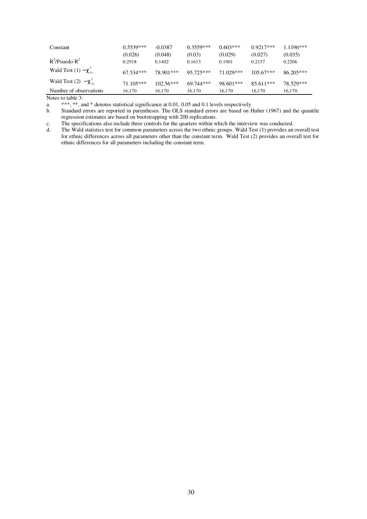| Constant                         | $0.5539***$ | $-0.0387$   | $0.3559***$ | $0.603***$ | $0.9217***$ | $1.1196***$ |
|----------------------------------|-------------|-------------|-------------|------------|-------------|-------------|
|                                  | (0.026)     | (0.048)     | (0.03)      | (0.029)    | (0.027)     | (0.035)     |
| $R^2$ /Psuedo $R^2$              | 0.2918      | 0.1402      | 0.1613      | 0.1901     | 0.2157      | 0.2206      |
| Wald Test (1) $\sim \chi^2_{31}$ | $67.534***$ | 78.901***   | 95.725***   | 71.029***  | $105.67***$ | 86.205***   |
| Wald Test (2) $\sim \chi_{32}^2$ | $71.105***$ | $102.56***$ | 69.744***   | 98.601***  | $85.611***$ | 78.529***   |
| Number of observations           | 16.170      | 16.170      | 16.170      | 16.170     | 16.170      | 16.170      |

Notes to table 3:<br>a.  $***$ ,  $**$ , a

a. \*\*\*, \*\*, and \* denotes statistical significance at 0.01, 0.05 and 0.1 levels respectively.<br>b. Standard errors are reported in parentheses. The OLS standard errors are based on H

Standard errors are reported in parentheses. The OLS standard errors are based on Huber (1967) and the quantile regression estimates are based on bootstrapping with 200 replications.

c. The specifications also include three controls for the quarters within which the interview was conducted.<br>d. The Wald statistics test for common parameters across the two ethnic groups. Wald Test (1) provides an

d. The Wald statistics test for common parameters across the two ethnic groups. Wald Test (1) provides an overall test for ethnic differences across all parameters other than the constant term. Wald Test (2) provides an overall test for ethnic differences for all parameters including the constant term.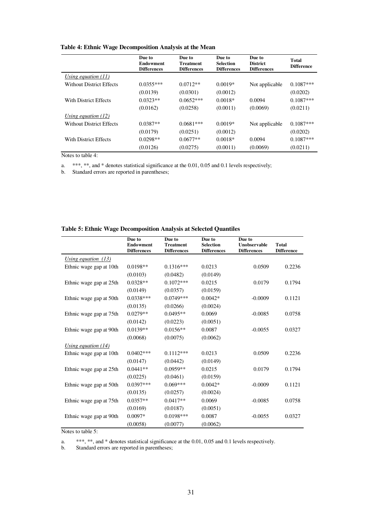|  | Table 4: Ethnic Wage Decomposition Analysis at the Mean |  |
|--|---------------------------------------------------------|--|
|--|---------------------------------------------------------|--|

|                                 | Due to<br><b>Endowment</b><br><b>Differences</b> | Due to<br><b>Treatment</b><br><b>Differences</b> | Due to<br><b>Selection</b><br><b>Differences</b> | Due to<br><b>District</b><br><b>Differences</b> | Total<br><b>Difference</b> |
|---------------------------------|--------------------------------------------------|--------------------------------------------------|--------------------------------------------------|-------------------------------------------------|----------------------------|
| Using equation $(11)$           |                                                  |                                                  |                                                  |                                                 |                            |
| <b>Without District Effects</b> | $0.0355***$                                      | $0.0712**$                                       | $0.0019*$                                        | Not applicable                                  | $0.1087$ ***               |
|                                 | (0.0139)                                         | (0.0301)                                         | (0.0012)                                         |                                                 | (0.0202)                   |
| With District Effects           | $0.0323**$                                       | $0.0652***$                                      | $0.0018*$                                        | 0.0094                                          | $0.1087$ ***               |
|                                 | (0.0162)                                         | (0.0258)                                         | (0.0011)                                         | (0.0069)                                        | (0.0211)                   |
| Using equation $(12)$           |                                                  |                                                  |                                                  |                                                 |                            |
| <b>Without District Effects</b> | $0.0387**$                                       | $0.0681***$                                      | $0.0019*$                                        | Not applicable                                  | $0.1087$ ***               |
|                                 | (0.0179)                                         | (0.0251)                                         | (0.0012)                                         |                                                 | (0.0202)                   |
| With District Effects           | $0.0298**$                                       | $0.0677**$                                       | $0.0018*$                                        | 0.0094                                          | $0.1087$ ***               |
|                                 | (0.0126)                                         | (0.0275)                                         | (0.0011)                                         | (0.0069)                                        | (0.0211)                   |

Notes to table 4:

a. \*\*\*, \*\*, and \* denotes statistical significance at the 0.01, 0.05 and 0.1 levels respectively;<br>b. Standard errors are reported in parentheses;

Standard errors are reported in parentheses;

|  |  |  |  | Table 5: Ethnic Wage Decomposition Analysis at Selected Quantiles |
|--|--|--|--|-------------------------------------------------------------------|
|  |  |  |  |                                                                   |

|                         | Due to<br><b>Endowment</b><br><b>Differences</b> | Due to<br><b>Treatment</b><br><b>Differences</b> | Due to<br><b>Selection</b><br><b>Differences</b> | Due to<br>Unobservable<br><b>Differences</b> | <b>Total</b><br><b>Difference</b> |
|-------------------------|--------------------------------------------------|--------------------------------------------------|--------------------------------------------------|----------------------------------------------|-----------------------------------|
| Using equation $(13)$   |                                                  |                                                  |                                                  |                                              |                                   |
| Ethnic wage gap at 10th | $0.0198**$                                       | $0.1316***$                                      | 0.0213                                           | 0.0509                                       | 0.2236                            |
|                         | (0.0103)                                         | (0.0482)                                         | (0.0149)                                         |                                              |                                   |
| Ethnic wage gap at 25th | $0.0328**$                                       | $0.1072***$                                      | 0.0215                                           | 0.0179                                       | 0.1794                            |
|                         | (0.0149)                                         | (0.0357)                                         | (0.0159)                                         |                                              |                                   |
| Ethnic wage gap at 50th | $0.0338***$                                      | $0.0749***$                                      | $0.0042*$                                        | $-0.0009$                                    | 0.1121                            |
|                         | (0.0135)                                         | (0.0266)                                         | (0.0024)                                         |                                              |                                   |
| Ethnic wage gap at 75th | $0.0279**$                                       | $0.0495**$                                       | 0.0069                                           | $-0.0085$                                    | 0.0758                            |
|                         | (0.0142)                                         | (0.0223)                                         | (0.0051)                                         |                                              |                                   |
| Ethnic wage gap at 90th | $0.0139**$                                       | $0.0156**$                                       | 0.0087                                           | $-0.0055$                                    | 0.0327                            |
|                         | (0.0068)                                         | (0.0075)                                         | (0.0062)                                         |                                              |                                   |
| Using equation $(14)$   |                                                  |                                                  |                                                  |                                              |                                   |
| Ethnic wage gap at 10th | $0.0402***$                                      | $0.1112***$                                      | 0.0213                                           | 0.0509                                       | 0.2236                            |
|                         | (0.0147)                                         | (0.0442)                                         | (0.0149)                                         |                                              |                                   |
| Ethnic wage gap at 25th | $0.0441**$                                       | $0.0959**$                                       | 0.0215                                           | 0.0179                                       | 0.1794                            |
|                         | (0.0225)                                         | (0.0461)                                         | (0.0159)                                         |                                              |                                   |
| Ethnic wage gap at 50th | $0.0397***$                                      | $0.069***$                                       | $0.0042*$                                        | $-0.0009$                                    | 0.1121                            |
|                         | (0.0135)                                         | (0.0257)                                         | (0.0024)                                         |                                              |                                   |
| Ethnic wage gap at 75th | $0.0357**$                                       | $0.0417**$                                       | 0.0069                                           | $-0.0085$                                    | 0.0758                            |
|                         | (0.0169)                                         | (0.0187)                                         | (0.0051)                                         |                                              |                                   |
| Ethnic wage gap at 90th | $0.0097*$                                        | $0.0198***$                                      | 0.0087                                           | $-0.0055$                                    | 0.0327                            |
|                         | (0.0058)                                         | (0.0077)                                         | (0.0062)                                         |                                              |                                   |
| Notes to table 5:       |                                                  |                                                  |                                                  |                                              |                                   |

a. \*\*\*, \*\*, and \* denotes statistical significance at the 0.01, 0.05 and 0.1 levels respectively.<br>b. Standard errors are reported in parentheses;

Standard errors are reported in parentheses;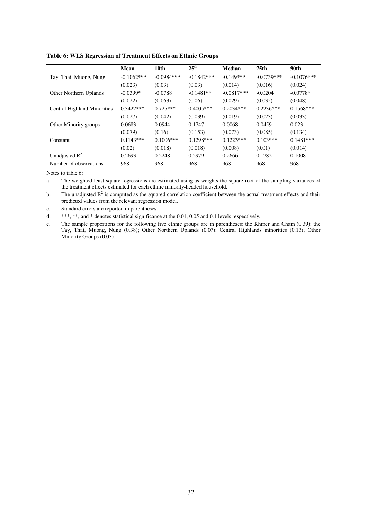|                                    | Mean         | 10 <sub>th</sub> | $25^{\text{th}}$ | <b>Median</b> | 75 <sub>th</sub> | 90th         |
|------------------------------------|--------------|------------------|------------------|---------------|------------------|--------------|
| Tay, Thai, Muong, Nung             | $-0.1062***$ | $-0.0984***$     | $-0.1842***$     | $-0.149***$   | $-0.0739***$     | $-0.1076***$ |
|                                    | (0.023)      | (0.03)           | (0.03)           | (0.014)       | (0.016)          | (0.024)      |
| Other Northern Uplands             | $-0.0399*$   | $-0.0788$        | $-0.1481**$      | $-0.0817***$  | $-0.0204$        | $-0.0778*$   |
|                                    | (0.022)      | (0.063)          | (0.06)           | (0.029)       | (0.035)          | (0.048)      |
| <b>Central Highland Minorities</b> | $0.3422***$  | $0.725***$       | $0.4005***$      | $0.2034***$   | $0.2236***$      | $0.1568***$  |
|                                    | (0.027)      | (0.042)          | (0.039)          | (0.019)       | (0.023)          | (0.033)      |
| Other Minority groups              | 0.0683       | 0.0944           | 0.1747           | 0.0068        | 0.0459           | 0.023        |
|                                    | (0.079)      | (0.16)           | (0.153)          | (0.073)       | (0.085)          | (0.134)      |
| Constant                           | $0.1143***$  | $0.1006$ ***     | $0.1298***$      | $0.1223***$   | $0.103***$       | $0.1481***$  |
|                                    | (0.02)       | (0.018)          | (0.018)          | (0.008)       | (0.01)           | (0.014)      |
| Unadjusted $R^2$                   | 0.2693       | 0.2248           | 0.2979           | 0.2666        | 0.1782           | 0.1008       |
| Number of observations             | 968          | 968              | 968              | 968           | 968              | 968          |

**Table 6: WLS Regression of Treatment Effects on Ethnic Groups** 

Notes to table 6:

a. The weighted least square regressions are estimated using as weights the square root of the sampling variances of the treatment effects estimated for each ethnic minority-headed household.

b. The unadjusted  $R^2$  is computed as the squared correlation coefficient between the actual treatment effects and their predicted values from the relevant regression model.

c. Standard errors are reported in parentheses.

d. \*\*\*, \*\*, and \* denotes statistical significance at the 0.01, 0.05 and 0.1 levels respectively.

e. The sample proportions for the following five ethnic groups are in parentheses: the Khmer and Cham (0.39); the Tay, Thai, Muong, Nung (0.38); Other Northern Uplands (0.07); Central Highlands minorities (0.13); Other Minority Groups (0.03).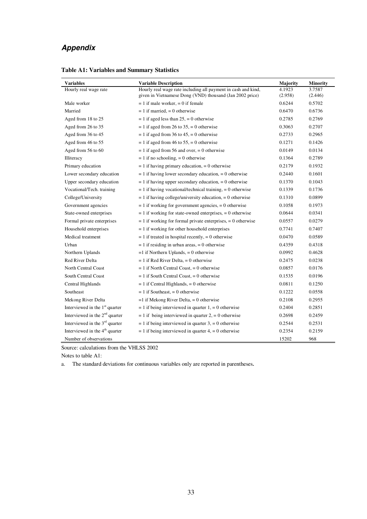# *Appendix*

| <b>Variables</b>                           | <b>Variable Description</b>                                      | Majority | <b>Minority</b> |
|--------------------------------------------|------------------------------------------------------------------|----------|-----------------|
| Hourly real wage rate                      | Hourly real wage rate including all payment in cash and kind,    | 4.1923   | 3.7587          |
|                                            | given in Vietnamese Dong (VND) thousand (Jan 2002 price)         | (2.958)  | (2.446)         |
| Male worker                                | $= 1$ if male worker, $= 0$ if female                            | 0.6244   | 0.5702          |
| Married                                    | $= 1$ if married, $= 0$ otherwise                                | 0.6470   | 0.6736          |
| Aged from 18 to 25                         | $= 1$ if aged less than 25, $= 0$ otherwise                      | 0.2785   | 0.2769          |
| Aged from 26 to 35                         | $= 1$ if aged from 26 to 35, $= 0$ otherwise                     | 0.3063   | 0.2707          |
| Aged from 36 to 45                         | $= 1$ if aged from 36 to 45, $= 0$ otherwise                     | 0.2733   | 0.2965          |
| Aged from 46 to 55                         | $= 1$ if aged from 46 to 55, $= 0$ otherwise                     | 0.1271   | 0.1426          |
| Aged from 56 to 60                         | $= 1$ if aged from 56 and over, $= 0$ otherwise                  | 0.0149   | 0.0134          |
| Illiteracy                                 | $= 1$ if no schooling, $= 0$ otherwise                           | 0.1364   | 0.2789          |
| Primary education                          | $= 1$ if having primary education, $= 0$ otherwise               | 0.2179   | 0.1932          |
| Lower secondary education                  | $= 1$ if having lower secondary education, $= 0$ otherwise       | 0.2440   | 0.1601          |
| Upper secondary education                  | $= 1$ if having upper secondary education, $= 0$ otherwise       | 0.1370   | 0.1043          |
| Vocational/Tech. training                  | $= 1$ if having vocational/technical training, $= 0$ otherwise   | 0.1339   | 0.1736          |
| College/University                         | $= 1$ if having college/university education, $= 0$ otherwise    | 0.1310   | 0.0899          |
| Government agencies                        | $= 1$ if working for government agencies, $= 0$ otherwise        | 0.1058   | 0.1973          |
| State-owned enterprises                    | $= 1$ if working for state-owned enterprises, $= 0$ otherwise    | 0.0644   | 0.0341          |
| Formal private enterprises                 | $= 1$ if working for formal private enterprises, $= 0$ otherwise | 0.0557   | 0.0279          |
| Household enterprises                      | $= 1$ if working for other household enterprises                 | 0.7741   | 0.7407          |
| Medical treatment                          | $= 1$ if treated in hospital recently, $= 0$ otherwise           | 0.0470   | 0.0589          |
| Urban                                      | $= 1$ if residing in urban areas, $= 0$ otherwise                | 0.4359   | 0.4318          |
| Northern Uplands                           | $=1$ if Northern Uplands, $= 0$ otherwise                        | 0.0992   | 0.4628          |
| Red River Delta                            | $= 1$ if Red River Delta, $= 0$ otherwise                        | 0.2475   | 0.0238          |
| North Central Coast                        | $= 1$ if North Central Coast, $= 0$ otherwise                    | 0.0857   | 0.0176          |
| South Central Coast                        | $= 1$ if South Central Coast, $= 0$ otherwise                    | 0.1535   | 0.0196          |
| Central Highlands                          | $= 1$ if Central Highlands, $= 0$ otherwise                      | 0.0811   | 0.1250          |
| Southeast                                  | $= 1$ if Southeast, $= 0$ otherwise                              | 0.1222   | 0.0558          |
| Mekong River Delta                         | $=1$ if Mekong River Delta, $= 0$ otherwise                      | 0.2108   | 0.2955          |
| Interviewed in the 1 <sup>st</sup> quarter | $= 1$ if being interviewed in quarter 1, $= 0$ otherwise         | 0.2404   | 0.2851          |
| Interviewed in the 2 <sup>nd</sup> quarter | $= 1$ if being interviewed in quarter 2, $= 0$ otherwise         | 0.2698   | 0.2459          |
| Interviewed in the $3rd$ quarter           | $= 1$ if being interviewed in quarter 3, $= 0$ otherwise         | 0.2544   | 0.2531          |
| Interviewed in the 4 <sup>th</sup> quarter | $= 1$ if being interviewed in quarter 4, $= 0$ otherwise         | 0.2354   | 0.2159          |
| Number of observations                     |                                                                  | 15202    | 968             |

|  |  | <b>Table A1: Variables and Summary Statistics</b> |  |
|--|--|---------------------------------------------------|--|
|--|--|---------------------------------------------------|--|

Source: calculations from the VHLSS 2002

Notes to table A1:

a. The standard deviations for continuous variables only are reported in parentheses**.**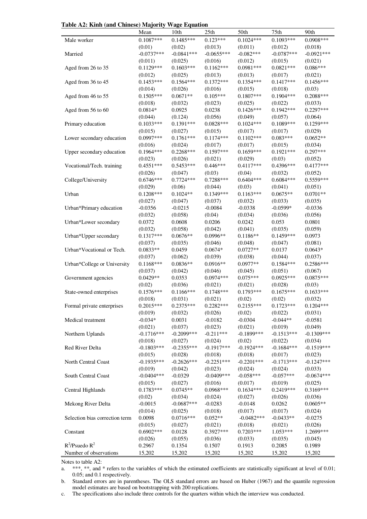**Table A2: Kinh (and Chinese) Majority Wage Equation** 

| $0.1485***$<br>$0.123***$<br>$0.1024***$<br>$0.1093***$<br>$0.0908***$<br>$0.1087***$<br>Male worker<br>(0.02)<br>(0.011)<br>(0.018)<br>(0.01)<br>(0.013)<br>(0.012)<br>$-0.0737***$<br>$-0.0841***$<br>$-0.0655***$<br>$-0.082***$<br>$-0.0787***$<br>$-0.0921***$<br>Married<br>(0.016)<br>(0.012)<br>(0.021)<br>(0.011)<br>(0.025)<br>(0.015)<br>$0.1603***$<br>$0.0981***$<br>$0.0821***$<br>$0.086***$<br>Aged from 26 to 35<br>$0.1129***$<br>$0.1162***$<br>(0.025)<br>(0.013)<br>(0.013)<br>(0.017)<br>(0.021)<br>(0.012)<br>$0.1453***$<br>$0.1564***$<br>$0.1372***$<br>$0.1354***$<br>$0.1417***$<br>$0.1456***$<br>Aged from 36 to 45<br>(0.026)<br>(0.016)<br>(0.015)<br>(0.018)<br>(0.03)<br>(0.014)<br>$0.1505***$<br>$0.0671**$<br>$0.105***$<br>$0.1807***$<br>$0.1904***$<br>0.2088***<br>Aged from 46 to 55<br>(0.032)<br>(0.018)<br>(0.023)<br>(0.025)<br>(0.022)<br>(0.033)<br>0.0925<br>$0.1426***$<br>$0.1942***$<br>$0.2297***$<br>Aged from 56 to 60<br>0.0814*<br>0.0238<br>(0.124)<br>(0.056)<br>(0.049)<br>(0.044)<br>(0.057)<br>(0.064)<br>$0.1033***$<br>$0.1391***$<br>$0.0828***$<br>$0.1024***$<br>0.1089***<br>$0.1259***$<br>Primary education<br>(0.015)<br>(0.027)<br>(0.015)<br>(0.017)<br>(0.017)<br>(0.029)<br>0.0997***<br>$0.1761***$<br>$0.1174***$<br>$0.1102***$<br>$0.083***$<br>$0.0652**$<br>Lower secondary education<br>(0.016)<br>(0.024)<br>(0.017)<br>(0.017)<br>(0.015)<br>(0.034)<br>$0.1597***$<br>$0.297***$<br>$0.1964***$<br>$0.2268***$<br>$0.1659***$<br>$0.1921***$<br>Upper secondary education<br>(0.03)<br>(0.052)<br>(0.023)<br>(0.026)<br>(0.021)<br>(0.029)<br>$0.4551***$<br>$0.5453***$<br>$0.446***$<br>0.4396***<br>$0.4177***$<br>Vocational/Tech. training<br>$0.4117***$<br>(0.047)<br>(0.04)<br>(0.032)<br>(0.052)<br>(0.026)<br>(0.03)<br>$0.5559***$<br>$0.6746***$<br>$0.7724***$<br>0.7288***<br>$0.6404***$<br>$0.6084***$<br>College/University<br>(0.051)<br>(0.029)<br>(0.06)<br>(0.044)<br>(0.03)<br>(0.041)<br>$0.1208***$<br>$0.1349***$<br>$0.0675**$<br>$0.0701**$<br>Urban<br>$0.1024**$<br>$0.1163***$<br>(0.047)<br>(0.037)<br>(0.032)<br>(0.033)<br>(0.035)<br>(0.027)<br>Urban*Primary education<br>$-0.0356$<br>$-0.0215$<br>$-0.0084$<br>$-0.0338$<br>$-0.0599*$<br>$-0.0336$<br>(0.032)<br>(0.058)<br>(0.04)<br>(0.034)<br>(0.056)<br>(0.036)<br>0.0608<br>0.0206<br>0.0242<br>0.0801<br>0.0372<br>0.053<br>Urban*Lower secondary<br>(0.032)<br>(0.058)<br>(0.042)<br>(0.041)<br>(0.035)<br>(0.059)<br>$0.1317***$<br>$0.0676**$<br>$0.0996**$<br>$0.1186**$<br>$0.1459***$<br>0.0973<br>Urban*Upper secondary<br>(0.037)<br>(0.035)<br>(0.046)<br>(0.048)<br>(0.047)<br>(0.081)<br>$0.0833**$<br>$0.0674*$<br>$0.0727**$<br>Urban*Vocational or Tech.<br>0.0459<br>0.0137<br>$0.0643*$<br>(0.037)<br>(0.062)<br>(0.039)<br>(0.038)<br>(0.044)<br>(0.037)<br>$0.1168***$<br>$0.0916**$<br>$0.0977**$<br>$0.1584***$<br>0.2586***<br>Urban*College or University<br>$0.0836**$<br>(0.046)<br>(0.045)<br>(0.067)<br>(0.037)<br>(0.042)<br>(0.051)<br>$0.0429**$<br>0.0353<br>$0.0974***$<br>$0.075***$<br>$0.0925***$<br>$0.0875***$<br>Government agencies<br>(0.036)<br>(0.021)<br>(0.021)<br>(0.028)<br>(0.03)<br>(0.02)<br>$0.1576***$<br>$0.1166***$<br>$0.1748***$<br>$0.1793***$<br>$0.1675***$<br>$0.1633***$<br>State-owned enterprises<br>(0.018)<br>(0.031)<br>(0.021)<br>(0.02)<br>(0.02)<br>(0.032)<br>$0.2015***$<br>$0.2375***$<br>$0.2282***$<br>$0.1723***$<br>$0.1204***$<br>$0.2155***$<br>Formal private enterprises<br>(0.019)<br>(0.032)<br>(0.026)<br>(0.02)<br>(0.022)<br>(0.031)<br>$-0.034*$<br>0.0031<br>$-0.0182$<br>$-0.0304$<br>$-0.044**$<br>Medical treatment<br>$-0.0581$<br>(0.037)<br>(0.021)<br>(0.023)<br>(0.021)<br>(0.019)<br>(0.049)<br>$-0.2099***$<br>$-0.211***$<br>$-0.1899$ ***<br>$-0.1513***$<br>$-0.1309***$<br>Northern Uplands<br>$-0.1716***$<br>(0.018)<br>(0.027)<br>(0.024)<br>(0.02)<br>(0.022)<br>(0.034)<br>$-0.1803***$<br>$-0.2355***$<br>$-0.1917***$<br>$-0.1924***$<br>$-0.1684***$<br>$-0.1519***$<br>Red River Delta<br>(0.015)<br>(0.028)<br>(0.018)<br>(0.018)<br>(0.017)<br>(0.023)<br>$-0.1935***$<br>$-0.2626***$<br>$-0.2251***$<br>$-0.2201***$<br>$-0.1713***$<br>$-0.1247***$<br>North Central Coast<br>(0.019)<br>(0.042)<br>(0.023)<br>(0.024)<br>(0.024)<br>(0.033)<br>$-0.057***$<br>$-0.0404***$<br>$-0.0329$<br>$-0.0409$ ***<br>$-0.058***$<br>$-0.0674***$<br>South Central Coast<br>(0.027)<br>(0.016)<br>(0.015)<br>(0.017)<br>(0.019)<br>(0.025)<br>$0.1783***$<br>$0.0745**$<br>$0.0968***$<br>$0.1634***$<br>0.2419***<br>$0.3169***$<br>Central Highlands<br>(0.034)<br>(0.036)<br>(0.02)<br>(0.024)<br>(0.027)<br>(0.026)<br>$-0.0687***$<br>$-0.0283$<br>0.0262<br>$0.0605**$<br>Mekong River Delta<br>$-0.0015$<br>$-0.0148$<br>(0.014)<br>(0.025)<br>(0.018)<br>(0.017)<br>(0.017)<br>(0.024)<br>$0.0716***$<br>$0.052**$<br>$-0.0482***$<br>$-0.0433**$<br>Selection bias correction term<br>0.0098<br>$-0.0275$<br>(0.015)<br>(0.027)<br>(0.021)<br>(0.018)<br>(0.021)<br>(0.026)<br>$0.6902***$<br>0.0128<br>$0.3927***$<br>$0.7203***$<br>$1.053***$<br>1.2699***<br>Constant<br>(0.026)<br>(0.055)<br>(0.036)<br>(0.033)<br>(0.035)<br>(0.045)<br>$R^2$ /Psuedo $R^2$<br>0.2967<br>0.1354<br>0.1507<br>0.1913<br>0.2085<br>0.1989<br>Number of observations<br>15,202<br>15,202<br>15,202<br>15,202<br>15,202<br>15,202 | Mean | 10 <sub>th</sub> | 25 <sub>th</sub> | 50th | 75th | 90th |
|------------------------------------------------------------------------------------------------------------------------------------------------------------------------------------------------------------------------------------------------------------------------------------------------------------------------------------------------------------------------------------------------------------------------------------------------------------------------------------------------------------------------------------------------------------------------------------------------------------------------------------------------------------------------------------------------------------------------------------------------------------------------------------------------------------------------------------------------------------------------------------------------------------------------------------------------------------------------------------------------------------------------------------------------------------------------------------------------------------------------------------------------------------------------------------------------------------------------------------------------------------------------------------------------------------------------------------------------------------------------------------------------------------------------------------------------------------------------------------------------------------------------------------------------------------------------------------------------------------------------------------------------------------------------------------------------------------------------------------------------------------------------------------------------------------------------------------------------------------------------------------------------------------------------------------------------------------------------------------------------------------------------------------------------------------------------------------------------------------------------------------------------------------------------------------------------------------------------------------------------------------------------------------------------------------------------------------------------------------------------------------------------------------------------------------------------------------------------------------------------------------------------------------------------------------------------------------------------------------------------------------------------------------------------------------------------------------------------------------------------------------------------------------------------------------------------------------------------------------------------------------------------------------------------------------------------------------------------------------------------------------------------------------------------------------------------------------------------------------------------------------------------------------------------------------------------------------------------------------------------------------------------------------------------------------------------------------------------------------------------------------------------------------------------------------------------------------------------------------------------------------------------------------------------------------------------------------------------------------------------------------------------------------------------------------------------------------------------------------------------------------------------------------------------------------------------------------------------------------------------------------------------------------------------------------------------------------------------------------------------------------------------------------------------------------------------------------------------------------------------------------------------------------------------------------------------------------------------------------------------------------------------------------------------------------------------------------------------------------------------------------------------------------------------------------------------------------------------------------------------------------------------------------------------------------------------------------------------------------------------------------------------------------------------------------------------------------------------------------------------------------------------------------------------------------------------------------------------------------------------------------------------------------------------------------------------------------------------------------------------------------------------------------------------------------------------------------------------------------------------------------------------------------------------------------------------------------------------------------------------------------------------------------------------------------------------------------------------------------------------------------------------------------------------|------|------------------|------------------|------|------|------|
|                                                                                                                                                                                                                                                                                                                                                                                                                                                                                                                                                                                                                                                                                                                                                                                                                                                                                                                                                                                                                                                                                                                                                                                                                                                                                                                                                                                                                                                                                                                                                                                                                                                                                                                                                                                                                                                                                                                                                                                                                                                                                                                                                                                                                                                                                                                                                                                                                                                                                                                                                                                                                                                                                                                                                                                                                                                                                                                                                                                                                                                                                                                                                                                                                                                                                                                                                                                                                                                                                                                                                                                                                                                                                                                                                                                                                                                                                                                                                                                                                                                                                                                                                                                                                                                                                                                                                                                                                                                                                                                                                                                                                                                                                                                                                                                                                                                                                                                                                                                                                                                                                                                                                                                                                                                                                                                                                                                                                        |      |                  |                  |      |      |      |
|                                                                                                                                                                                                                                                                                                                                                                                                                                                                                                                                                                                                                                                                                                                                                                                                                                                                                                                                                                                                                                                                                                                                                                                                                                                                                                                                                                                                                                                                                                                                                                                                                                                                                                                                                                                                                                                                                                                                                                                                                                                                                                                                                                                                                                                                                                                                                                                                                                                                                                                                                                                                                                                                                                                                                                                                                                                                                                                                                                                                                                                                                                                                                                                                                                                                                                                                                                                                                                                                                                                                                                                                                                                                                                                                                                                                                                                                                                                                                                                                                                                                                                                                                                                                                                                                                                                                                                                                                                                                                                                                                                                                                                                                                                                                                                                                                                                                                                                                                                                                                                                                                                                                                                                                                                                                                                                                                                                                                        |      |                  |                  |      |      |      |
|                                                                                                                                                                                                                                                                                                                                                                                                                                                                                                                                                                                                                                                                                                                                                                                                                                                                                                                                                                                                                                                                                                                                                                                                                                                                                                                                                                                                                                                                                                                                                                                                                                                                                                                                                                                                                                                                                                                                                                                                                                                                                                                                                                                                                                                                                                                                                                                                                                                                                                                                                                                                                                                                                                                                                                                                                                                                                                                                                                                                                                                                                                                                                                                                                                                                                                                                                                                                                                                                                                                                                                                                                                                                                                                                                                                                                                                                                                                                                                                                                                                                                                                                                                                                                                                                                                                                                                                                                                                                                                                                                                                                                                                                                                                                                                                                                                                                                                                                                                                                                                                                                                                                                                                                                                                                                                                                                                                                                        |      |                  |                  |      |      |      |
|                                                                                                                                                                                                                                                                                                                                                                                                                                                                                                                                                                                                                                                                                                                                                                                                                                                                                                                                                                                                                                                                                                                                                                                                                                                                                                                                                                                                                                                                                                                                                                                                                                                                                                                                                                                                                                                                                                                                                                                                                                                                                                                                                                                                                                                                                                                                                                                                                                                                                                                                                                                                                                                                                                                                                                                                                                                                                                                                                                                                                                                                                                                                                                                                                                                                                                                                                                                                                                                                                                                                                                                                                                                                                                                                                                                                                                                                                                                                                                                                                                                                                                                                                                                                                                                                                                                                                                                                                                                                                                                                                                                                                                                                                                                                                                                                                                                                                                                                                                                                                                                                                                                                                                                                                                                                                                                                                                                                                        |      |                  |                  |      |      |      |
|                                                                                                                                                                                                                                                                                                                                                                                                                                                                                                                                                                                                                                                                                                                                                                                                                                                                                                                                                                                                                                                                                                                                                                                                                                                                                                                                                                                                                                                                                                                                                                                                                                                                                                                                                                                                                                                                                                                                                                                                                                                                                                                                                                                                                                                                                                                                                                                                                                                                                                                                                                                                                                                                                                                                                                                                                                                                                                                                                                                                                                                                                                                                                                                                                                                                                                                                                                                                                                                                                                                                                                                                                                                                                                                                                                                                                                                                                                                                                                                                                                                                                                                                                                                                                                                                                                                                                                                                                                                                                                                                                                                                                                                                                                                                                                                                                                                                                                                                                                                                                                                                                                                                                                                                                                                                                                                                                                                                                        |      |                  |                  |      |      |      |
|                                                                                                                                                                                                                                                                                                                                                                                                                                                                                                                                                                                                                                                                                                                                                                                                                                                                                                                                                                                                                                                                                                                                                                                                                                                                                                                                                                                                                                                                                                                                                                                                                                                                                                                                                                                                                                                                                                                                                                                                                                                                                                                                                                                                                                                                                                                                                                                                                                                                                                                                                                                                                                                                                                                                                                                                                                                                                                                                                                                                                                                                                                                                                                                                                                                                                                                                                                                                                                                                                                                                                                                                                                                                                                                                                                                                                                                                                                                                                                                                                                                                                                                                                                                                                                                                                                                                                                                                                                                                                                                                                                                                                                                                                                                                                                                                                                                                                                                                                                                                                                                                                                                                                                                                                                                                                                                                                                                                                        |      |                  |                  |      |      |      |
|                                                                                                                                                                                                                                                                                                                                                                                                                                                                                                                                                                                                                                                                                                                                                                                                                                                                                                                                                                                                                                                                                                                                                                                                                                                                                                                                                                                                                                                                                                                                                                                                                                                                                                                                                                                                                                                                                                                                                                                                                                                                                                                                                                                                                                                                                                                                                                                                                                                                                                                                                                                                                                                                                                                                                                                                                                                                                                                                                                                                                                                                                                                                                                                                                                                                                                                                                                                                                                                                                                                                                                                                                                                                                                                                                                                                                                                                                                                                                                                                                                                                                                                                                                                                                                                                                                                                                                                                                                                                                                                                                                                                                                                                                                                                                                                                                                                                                                                                                                                                                                                                                                                                                                                                                                                                                                                                                                                                                        |      |                  |                  |      |      |      |
|                                                                                                                                                                                                                                                                                                                                                                                                                                                                                                                                                                                                                                                                                                                                                                                                                                                                                                                                                                                                                                                                                                                                                                                                                                                                                                                                                                                                                                                                                                                                                                                                                                                                                                                                                                                                                                                                                                                                                                                                                                                                                                                                                                                                                                                                                                                                                                                                                                                                                                                                                                                                                                                                                                                                                                                                                                                                                                                                                                                                                                                                                                                                                                                                                                                                                                                                                                                                                                                                                                                                                                                                                                                                                                                                                                                                                                                                                                                                                                                                                                                                                                                                                                                                                                                                                                                                                                                                                                                                                                                                                                                                                                                                                                                                                                                                                                                                                                                                                                                                                                                                                                                                                                                                                                                                                                                                                                                                                        |      |                  |                  |      |      |      |
|                                                                                                                                                                                                                                                                                                                                                                                                                                                                                                                                                                                                                                                                                                                                                                                                                                                                                                                                                                                                                                                                                                                                                                                                                                                                                                                                                                                                                                                                                                                                                                                                                                                                                                                                                                                                                                                                                                                                                                                                                                                                                                                                                                                                                                                                                                                                                                                                                                                                                                                                                                                                                                                                                                                                                                                                                                                                                                                                                                                                                                                                                                                                                                                                                                                                                                                                                                                                                                                                                                                                                                                                                                                                                                                                                                                                                                                                                                                                                                                                                                                                                                                                                                                                                                                                                                                                                                                                                                                                                                                                                                                                                                                                                                                                                                                                                                                                                                                                                                                                                                                                                                                                                                                                                                                                                                                                                                                                                        |      |                  |                  |      |      |      |
|                                                                                                                                                                                                                                                                                                                                                                                                                                                                                                                                                                                                                                                                                                                                                                                                                                                                                                                                                                                                                                                                                                                                                                                                                                                                                                                                                                                                                                                                                                                                                                                                                                                                                                                                                                                                                                                                                                                                                                                                                                                                                                                                                                                                                                                                                                                                                                                                                                                                                                                                                                                                                                                                                                                                                                                                                                                                                                                                                                                                                                                                                                                                                                                                                                                                                                                                                                                                                                                                                                                                                                                                                                                                                                                                                                                                                                                                                                                                                                                                                                                                                                                                                                                                                                                                                                                                                                                                                                                                                                                                                                                                                                                                                                                                                                                                                                                                                                                                                                                                                                                                                                                                                                                                                                                                                                                                                                                                                        |      |                  |                  |      |      |      |
|                                                                                                                                                                                                                                                                                                                                                                                                                                                                                                                                                                                                                                                                                                                                                                                                                                                                                                                                                                                                                                                                                                                                                                                                                                                                                                                                                                                                                                                                                                                                                                                                                                                                                                                                                                                                                                                                                                                                                                                                                                                                                                                                                                                                                                                                                                                                                                                                                                                                                                                                                                                                                                                                                                                                                                                                                                                                                                                                                                                                                                                                                                                                                                                                                                                                                                                                                                                                                                                                                                                                                                                                                                                                                                                                                                                                                                                                                                                                                                                                                                                                                                                                                                                                                                                                                                                                                                                                                                                                                                                                                                                                                                                                                                                                                                                                                                                                                                                                                                                                                                                                                                                                                                                                                                                                                                                                                                                                                        |      |                  |                  |      |      |      |
|                                                                                                                                                                                                                                                                                                                                                                                                                                                                                                                                                                                                                                                                                                                                                                                                                                                                                                                                                                                                                                                                                                                                                                                                                                                                                                                                                                                                                                                                                                                                                                                                                                                                                                                                                                                                                                                                                                                                                                                                                                                                                                                                                                                                                                                                                                                                                                                                                                                                                                                                                                                                                                                                                                                                                                                                                                                                                                                                                                                                                                                                                                                                                                                                                                                                                                                                                                                                                                                                                                                                                                                                                                                                                                                                                                                                                                                                                                                                                                                                                                                                                                                                                                                                                                                                                                                                                                                                                                                                                                                                                                                                                                                                                                                                                                                                                                                                                                                                                                                                                                                                                                                                                                                                                                                                                                                                                                                                                        |      |                  |                  |      |      |      |
|                                                                                                                                                                                                                                                                                                                                                                                                                                                                                                                                                                                                                                                                                                                                                                                                                                                                                                                                                                                                                                                                                                                                                                                                                                                                                                                                                                                                                                                                                                                                                                                                                                                                                                                                                                                                                                                                                                                                                                                                                                                                                                                                                                                                                                                                                                                                                                                                                                                                                                                                                                                                                                                                                                                                                                                                                                                                                                                                                                                                                                                                                                                                                                                                                                                                                                                                                                                                                                                                                                                                                                                                                                                                                                                                                                                                                                                                                                                                                                                                                                                                                                                                                                                                                                                                                                                                                                                                                                                                                                                                                                                                                                                                                                                                                                                                                                                                                                                                                                                                                                                                                                                                                                                                                                                                                                                                                                                                                        |      |                  |                  |      |      |      |
|                                                                                                                                                                                                                                                                                                                                                                                                                                                                                                                                                                                                                                                                                                                                                                                                                                                                                                                                                                                                                                                                                                                                                                                                                                                                                                                                                                                                                                                                                                                                                                                                                                                                                                                                                                                                                                                                                                                                                                                                                                                                                                                                                                                                                                                                                                                                                                                                                                                                                                                                                                                                                                                                                                                                                                                                                                                                                                                                                                                                                                                                                                                                                                                                                                                                                                                                                                                                                                                                                                                                                                                                                                                                                                                                                                                                                                                                                                                                                                                                                                                                                                                                                                                                                                                                                                                                                                                                                                                                                                                                                                                                                                                                                                                                                                                                                                                                                                                                                                                                                                                                                                                                                                                                                                                                                                                                                                                                                        |      |                  |                  |      |      |      |
|                                                                                                                                                                                                                                                                                                                                                                                                                                                                                                                                                                                                                                                                                                                                                                                                                                                                                                                                                                                                                                                                                                                                                                                                                                                                                                                                                                                                                                                                                                                                                                                                                                                                                                                                                                                                                                                                                                                                                                                                                                                                                                                                                                                                                                                                                                                                                                                                                                                                                                                                                                                                                                                                                                                                                                                                                                                                                                                                                                                                                                                                                                                                                                                                                                                                                                                                                                                                                                                                                                                                                                                                                                                                                                                                                                                                                                                                                                                                                                                                                                                                                                                                                                                                                                                                                                                                                                                                                                                                                                                                                                                                                                                                                                                                                                                                                                                                                                                                                                                                                                                                                                                                                                                                                                                                                                                                                                                                                        |      |                  |                  |      |      |      |
|                                                                                                                                                                                                                                                                                                                                                                                                                                                                                                                                                                                                                                                                                                                                                                                                                                                                                                                                                                                                                                                                                                                                                                                                                                                                                                                                                                                                                                                                                                                                                                                                                                                                                                                                                                                                                                                                                                                                                                                                                                                                                                                                                                                                                                                                                                                                                                                                                                                                                                                                                                                                                                                                                                                                                                                                                                                                                                                                                                                                                                                                                                                                                                                                                                                                                                                                                                                                                                                                                                                                                                                                                                                                                                                                                                                                                                                                                                                                                                                                                                                                                                                                                                                                                                                                                                                                                                                                                                                                                                                                                                                                                                                                                                                                                                                                                                                                                                                                                                                                                                                                                                                                                                                                                                                                                                                                                                                                                        |      |                  |                  |      |      |      |
|                                                                                                                                                                                                                                                                                                                                                                                                                                                                                                                                                                                                                                                                                                                                                                                                                                                                                                                                                                                                                                                                                                                                                                                                                                                                                                                                                                                                                                                                                                                                                                                                                                                                                                                                                                                                                                                                                                                                                                                                                                                                                                                                                                                                                                                                                                                                                                                                                                                                                                                                                                                                                                                                                                                                                                                                                                                                                                                                                                                                                                                                                                                                                                                                                                                                                                                                                                                                                                                                                                                                                                                                                                                                                                                                                                                                                                                                                                                                                                                                                                                                                                                                                                                                                                                                                                                                                                                                                                                                                                                                                                                                                                                                                                                                                                                                                                                                                                                                                                                                                                                                                                                                                                                                                                                                                                                                                                                                                        |      |                  |                  |      |      |      |
|                                                                                                                                                                                                                                                                                                                                                                                                                                                                                                                                                                                                                                                                                                                                                                                                                                                                                                                                                                                                                                                                                                                                                                                                                                                                                                                                                                                                                                                                                                                                                                                                                                                                                                                                                                                                                                                                                                                                                                                                                                                                                                                                                                                                                                                                                                                                                                                                                                                                                                                                                                                                                                                                                                                                                                                                                                                                                                                                                                                                                                                                                                                                                                                                                                                                                                                                                                                                                                                                                                                                                                                                                                                                                                                                                                                                                                                                                                                                                                                                                                                                                                                                                                                                                                                                                                                                                                                                                                                                                                                                                                                                                                                                                                                                                                                                                                                                                                                                                                                                                                                                                                                                                                                                                                                                                                                                                                                                                        |      |                  |                  |      |      |      |
|                                                                                                                                                                                                                                                                                                                                                                                                                                                                                                                                                                                                                                                                                                                                                                                                                                                                                                                                                                                                                                                                                                                                                                                                                                                                                                                                                                                                                                                                                                                                                                                                                                                                                                                                                                                                                                                                                                                                                                                                                                                                                                                                                                                                                                                                                                                                                                                                                                                                                                                                                                                                                                                                                                                                                                                                                                                                                                                                                                                                                                                                                                                                                                                                                                                                                                                                                                                                                                                                                                                                                                                                                                                                                                                                                                                                                                                                                                                                                                                                                                                                                                                                                                                                                                                                                                                                                                                                                                                                                                                                                                                                                                                                                                                                                                                                                                                                                                                                                                                                                                                                                                                                                                                                                                                                                                                                                                                                                        |      |                  |                  |      |      |      |
|                                                                                                                                                                                                                                                                                                                                                                                                                                                                                                                                                                                                                                                                                                                                                                                                                                                                                                                                                                                                                                                                                                                                                                                                                                                                                                                                                                                                                                                                                                                                                                                                                                                                                                                                                                                                                                                                                                                                                                                                                                                                                                                                                                                                                                                                                                                                                                                                                                                                                                                                                                                                                                                                                                                                                                                                                                                                                                                                                                                                                                                                                                                                                                                                                                                                                                                                                                                                                                                                                                                                                                                                                                                                                                                                                                                                                                                                                                                                                                                                                                                                                                                                                                                                                                                                                                                                                                                                                                                                                                                                                                                                                                                                                                                                                                                                                                                                                                                                                                                                                                                                                                                                                                                                                                                                                                                                                                                                                        |      |                  |                  |      |      |      |
|                                                                                                                                                                                                                                                                                                                                                                                                                                                                                                                                                                                                                                                                                                                                                                                                                                                                                                                                                                                                                                                                                                                                                                                                                                                                                                                                                                                                                                                                                                                                                                                                                                                                                                                                                                                                                                                                                                                                                                                                                                                                                                                                                                                                                                                                                                                                                                                                                                                                                                                                                                                                                                                                                                                                                                                                                                                                                                                                                                                                                                                                                                                                                                                                                                                                                                                                                                                                                                                                                                                                                                                                                                                                                                                                                                                                                                                                                                                                                                                                                                                                                                                                                                                                                                                                                                                                                                                                                                                                                                                                                                                                                                                                                                                                                                                                                                                                                                                                                                                                                                                                                                                                                                                                                                                                                                                                                                                                                        |      |                  |                  |      |      |      |
|                                                                                                                                                                                                                                                                                                                                                                                                                                                                                                                                                                                                                                                                                                                                                                                                                                                                                                                                                                                                                                                                                                                                                                                                                                                                                                                                                                                                                                                                                                                                                                                                                                                                                                                                                                                                                                                                                                                                                                                                                                                                                                                                                                                                                                                                                                                                                                                                                                                                                                                                                                                                                                                                                                                                                                                                                                                                                                                                                                                                                                                                                                                                                                                                                                                                                                                                                                                                                                                                                                                                                                                                                                                                                                                                                                                                                                                                                                                                                                                                                                                                                                                                                                                                                                                                                                                                                                                                                                                                                                                                                                                                                                                                                                                                                                                                                                                                                                                                                                                                                                                                                                                                                                                                                                                                                                                                                                                                                        |      |                  |                  |      |      |      |
|                                                                                                                                                                                                                                                                                                                                                                                                                                                                                                                                                                                                                                                                                                                                                                                                                                                                                                                                                                                                                                                                                                                                                                                                                                                                                                                                                                                                                                                                                                                                                                                                                                                                                                                                                                                                                                                                                                                                                                                                                                                                                                                                                                                                                                                                                                                                                                                                                                                                                                                                                                                                                                                                                                                                                                                                                                                                                                                                                                                                                                                                                                                                                                                                                                                                                                                                                                                                                                                                                                                                                                                                                                                                                                                                                                                                                                                                                                                                                                                                                                                                                                                                                                                                                                                                                                                                                                                                                                                                                                                                                                                                                                                                                                                                                                                                                                                                                                                                                                                                                                                                                                                                                                                                                                                                                                                                                                                                                        |      |                  |                  |      |      |      |
|                                                                                                                                                                                                                                                                                                                                                                                                                                                                                                                                                                                                                                                                                                                                                                                                                                                                                                                                                                                                                                                                                                                                                                                                                                                                                                                                                                                                                                                                                                                                                                                                                                                                                                                                                                                                                                                                                                                                                                                                                                                                                                                                                                                                                                                                                                                                                                                                                                                                                                                                                                                                                                                                                                                                                                                                                                                                                                                                                                                                                                                                                                                                                                                                                                                                                                                                                                                                                                                                                                                                                                                                                                                                                                                                                                                                                                                                                                                                                                                                                                                                                                                                                                                                                                                                                                                                                                                                                                                                                                                                                                                                                                                                                                                                                                                                                                                                                                                                                                                                                                                                                                                                                                                                                                                                                                                                                                                                                        |      |                  |                  |      |      |      |
|                                                                                                                                                                                                                                                                                                                                                                                                                                                                                                                                                                                                                                                                                                                                                                                                                                                                                                                                                                                                                                                                                                                                                                                                                                                                                                                                                                                                                                                                                                                                                                                                                                                                                                                                                                                                                                                                                                                                                                                                                                                                                                                                                                                                                                                                                                                                                                                                                                                                                                                                                                                                                                                                                                                                                                                                                                                                                                                                                                                                                                                                                                                                                                                                                                                                                                                                                                                                                                                                                                                                                                                                                                                                                                                                                                                                                                                                                                                                                                                                                                                                                                                                                                                                                                                                                                                                                                                                                                                                                                                                                                                                                                                                                                                                                                                                                                                                                                                                                                                                                                                                                                                                                                                                                                                                                                                                                                                                                        |      |                  |                  |      |      |      |
|                                                                                                                                                                                                                                                                                                                                                                                                                                                                                                                                                                                                                                                                                                                                                                                                                                                                                                                                                                                                                                                                                                                                                                                                                                                                                                                                                                                                                                                                                                                                                                                                                                                                                                                                                                                                                                                                                                                                                                                                                                                                                                                                                                                                                                                                                                                                                                                                                                                                                                                                                                                                                                                                                                                                                                                                                                                                                                                                                                                                                                                                                                                                                                                                                                                                                                                                                                                                                                                                                                                                                                                                                                                                                                                                                                                                                                                                                                                                                                                                                                                                                                                                                                                                                                                                                                                                                                                                                                                                                                                                                                                                                                                                                                                                                                                                                                                                                                                                                                                                                                                                                                                                                                                                                                                                                                                                                                                                                        |      |                  |                  |      |      |      |
|                                                                                                                                                                                                                                                                                                                                                                                                                                                                                                                                                                                                                                                                                                                                                                                                                                                                                                                                                                                                                                                                                                                                                                                                                                                                                                                                                                                                                                                                                                                                                                                                                                                                                                                                                                                                                                                                                                                                                                                                                                                                                                                                                                                                                                                                                                                                                                                                                                                                                                                                                                                                                                                                                                                                                                                                                                                                                                                                                                                                                                                                                                                                                                                                                                                                                                                                                                                                                                                                                                                                                                                                                                                                                                                                                                                                                                                                                                                                                                                                                                                                                                                                                                                                                                                                                                                                                                                                                                                                                                                                                                                                                                                                                                                                                                                                                                                                                                                                                                                                                                                                                                                                                                                                                                                                                                                                                                                                                        |      |                  |                  |      |      |      |
|                                                                                                                                                                                                                                                                                                                                                                                                                                                                                                                                                                                                                                                                                                                                                                                                                                                                                                                                                                                                                                                                                                                                                                                                                                                                                                                                                                                                                                                                                                                                                                                                                                                                                                                                                                                                                                                                                                                                                                                                                                                                                                                                                                                                                                                                                                                                                                                                                                                                                                                                                                                                                                                                                                                                                                                                                                                                                                                                                                                                                                                                                                                                                                                                                                                                                                                                                                                                                                                                                                                                                                                                                                                                                                                                                                                                                                                                                                                                                                                                                                                                                                                                                                                                                                                                                                                                                                                                                                                                                                                                                                                                                                                                                                                                                                                                                                                                                                                                                                                                                                                                                                                                                                                                                                                                                                                                                                                                                        |      |                  |                  |      |      |      |
|                                                                                                                                                                                                                                                                                                                                                                                                                                                                                                                                                                                                                                                                                                                                                                                                                                                                                                                                                                                                                                                                                                                                                                                                                                                                                                                                                                                                                                                                                                                                                                                                                                                                                                                                                                                                                                                                                                                                                                                                                                                                                                                                                                                                                                                                                                                                                                                                                                                                                                                                                                                                                                                                                                                                                                                                                                                                                                                                                                                                                                                                                                                                                                                                                                                                                                                                                                                                                                                                                                                                                                                                                                                                                                                                                                                                                                                                                                                                                                                                                                                                                                                                                                                                                                                                                                                                                                                                                                                                                                                                                                                                                                                                                                                                                                                                                                                                                                                                                                                                                                                                                                                                                                                                                                                                                                                                                                                                                        |      |                  |                  |      |      |      |
|                                                                                                                                                                                                                                                                                                                                                                                                                                                                                                                                                                                                                                                                                                                                                                                                                                                                                                                                                                                                                                                                                                                                                                                                                                                                                                                                                                                                                                                                                                                                                                                                                                                                                                                                                                                                                                                                                                                                                                                                                                                                                                                                                                                                                                                                                                                                                                                                                                                                                                                                                                                                                                                                                                                                                                                                                                                                                                                                                                                                                                                                                                                                                                                                                                                                                                                                                                                                                                                                                                                                                                                                                                                                                                                                                                                                                                                                                                                                                                                                                                                                                                                                                                                                                                                                                                                                                                                                                                                                                                                                                                                                                                                                                                                                                                                                                                                                                                                                                                                                                                                                                                                                                                                                                                                                                                                                                                                                                        |      |                  |                  |      |      |      |
|                                                                                                                                                                                                                                                                                                                                                                                                                                                                                                                                                                                                                                                                                                                                                                                                                                                                                                                                                                                                                                                                                                                                                                                                                                                                                                                                                                                                                                                                                                                                                                                                                                                                                                                                                                                                                                                                                                                                                                                                                                                                                                                                                                                                                                                                                                                                                                                                                                                                                                                                                                                                                                                                                                                                                                                                                                                                                                                                                                                                                                                                                                                                                                                                                                                                                                                                                                                                                                                                                                                                                                                                                                                                                                                                                                                                                                                                                                                                                                                                                                                                                                                                                                                                                                                                                                                                                                                                                                                                                                                                                                                                                                                                                                                                                                                                                                                                                                                                                                                                                                                                                                                                                                                                                                                                                                                                                                                                                        |      |                  |                  |      |      |      |
|                                                                                                                                                                                                                                                                                                                                                                                                                                                                                                                                                                                                                                                                                                                                                                                                                                                                                                                                                                                                                                                                                                                                                                                                                                                                                                                                                                                                                                                                                                                                                                                                                                                                                                                                                                                                                                                                                                                                                                                                                                                                                                                                                                                                                                                                                                                                                                                                                                                                                                                                                                                                                                                                                                                                                                                                                                                                                                                                                                                                                                                                                                                                                                                                                                                                                                                                                                                                                                                                                                                                                                                                                                                                                                                                                                                                                                                                                                                                                                                                                                                                                                                                                                                                                                                                                                                                                                                                                                                                                                                                                                                                                                                                                                                                                                                                                                                                                                                                                                                                                                                                                                                                                                                                                                                                                                                                                                                                                        |      |                  |                  |      |      |      |
|                                                                                                                                                                                                                                                                                                                                                                                                                                                                                                                                                                                                                                                                                                                                                                                                                                                                                                                                                                                                                                                                                                                                                                                                                                                                                                                                                                                                                                                                                                                                                                                                                                                                                                                                                                                                                                                                                                                                                                                                                                                                                                                                                                                                                                                                                                                                                                                                                                                                                                                                                                                                                                                                                                                                                                                                                                                                                                                                                                                                                                                                                                                                                                                                                                                                                                                                                                                                                                                                                                                                                                                                                                                                                                                                                                                                                                                                                                                                                                                                                                                                                                                                                                                                                                                                                                                                                                                                                                                                                                                                                                                                                                                                                                                                                                                                                                                                                                                                                                                                                                                                                                                                                                                                                                                                                                                                                                                                                        |      |                  |                  |      |      |      |
|                                                                                                                                                                                                                                                                                                                                                                                                                                                                                                                                                                                                                                                                                                                                                                                                                                                                                                                                                                                                                                                                                                                                                                                                                                                                                                                                                                                                                                                                                                                                                                                                                                                                                                                                                                                                                                                                                                                                                                                                                                                                                                                                                                                                                                                                                                                                                                                                                                                                                                                                                                                                                                                                                                                                                                                                                                                                                                                                                                                                                                                                                                                                                                                                                                                                                                                                                                                                                                                                                                                                                                                                                                                                                                                                                                                                                                                                                                                                                                                                                                                                                                                                                                                                                                                                                                                                                                                                                                                                                                                                                                                                                                                                                                                                                                                                                                                                                                                                                                                                                                                                                                                                                                                                                                                                                                                                                                                                                        |      |                  |                  |      |      |      |
|                                                                                                                                                                                                                                                                                                                                                                                                                                                                                                                                                                                                                                                                                                                                                                                                                                                                                                                                                                                                                                                                                                                                                                                                                                                                                                                                                                                                                                                                                                                                                                                                                                                                                                                                                                                                                                                                                                                                                                                                                                                                                                                                                                                                                                                                                                                                                                                                                                                                                                                                                                                                                                                                                                                                                                                                                                                                                                                                                                                                                                                                                                                                                                                                                                                                                                                                                                                                                                                                                                                                                                                                                                                                                                                                                                                                                                                                                                                                                                                                                                                                                                                                                                                                                                                                                                                                                                                                                                                                                                                                                                                                                                                                                                                                                                                                                                                                                                                                                                                                                                                                                                                                                                                                                                                                                                                                                                                                                        |      |                  |                  |      |      |      |
|                                                                                                                                                                                                                                                                                                                                                                                                                                                                                                                                                                                                                                                                                                                                                                                                                                                                                                                                                                                                                                                                                                                                                                                                                                                                                                                                                                                                                                                                                                                                                                                                                                                                                                                                                                                                                                                                                                                                                                                                                                                                                                                                                                                                                                                                                                                                                                                                                                                                                                                                                                                                                                                                                                                                                                                                                                                                                                                                                                                                                                                                                                                                                                                                                                                                                                                                                                                                                                                                                                                                                                                                                                                                                                                                                                                                                                                                                                                                                                                                                                                                                                                                                                                                                                                                                                                                                                                                                                                                                                                                                                                                                                                                                                                                                                                                                                                                                                                                                                                                                                                                                                                                                                                                                                                                                                                                                                                                                        |      |                  |                  |      |      |      |
|                                                                                                                                                                                                                                                                                                                                                                                                                                                                                                                                                                                                                                                                                                                                                                                                                                                                                                                                                                                                                                                                                                                                                                                                                                                                                                                                                                                                                                                                                                                                                                                                                                                                                                                                                                                                                                                                                                                                                                                                                                                                                                                                                                                                                                                                                                                                                                                                                                                                                                                                                                                                                                                                                                                                                                                                                                                                                                                                                                                                                                                                                                                                                                                                                                                                                                                                                                                                                                                                                                                                                                                                                                                                                                                                                                                                                                                                                                                                                                                                                                                                                                                                                                                                                                                                                                                                                                                                                                                                                                                                                                                                                                                                                                                                                                                                                                                                                                                                                                                                                                                                                                                                                                                                                                                                                                                                                                                                                        |      |                  |                  |      |      |      |
|                                                                                                                                                                                                                                                                                                                                                                                                                                                                                                                                                                                                                                                                                                                                                                                                                                                                                                                                                                                                                                                                                                                                                                                                                                                                                                                                                                                                                                                                                                                                                                                                                                                                                                                                                                                                                                                                                                                                                                                                                                                                                                                                                                                                                                                                                                                                                                                                                                                                                                                                                                                                                                                                                                                                                                                                                                                                                                                                                                                                                                                                                                                                                                                                                                                                                                                                                                                                                                                                                                                                                                                                                                                                                                                                                                                                                                                                                                                                                                                                                                                                                                                                                                                                                                                                                                                                                                                                                                                                                                                                                                                                                                                                                                                                                                                                                                                                                                                                                                                                                                                                                                                                                                                                                                                                                                                                                                                                                        |      |                  |                  |      |      |      |
|                                                                                                                                                                                                                                                                                                                                                                                                                                                                                                                                                                                                                                                                                                                                                                                                                                                                                                                                                                                                                                                                                                                                                                                                                                                                                                                                                                                                                                                                                                                                                                                                                                                                                                                                                                                                                                                                                                                                                                                                                                                                                                                                                                                                                                                                                                                                                                                                                                                                                                                                                                                                                                                                                                                                                                                                                                                                                                                                                                                                                                                                                                                                                                                                                                                                                                                                                                                                                                                                                                                                                                                                                                                                                                                                                                                                                                                                                                                                                                                                                                                                                                                                                                                                                                                                                                                                                                                                                                                                                                                                                                                                                                                                                                                                                                                                                                                                                                                                                                                                                                                                                                                                                                                                                                                                                                                                                                                                                        |      |                  |                  |      |      |      |
|                                                                                                                                                                                                                                                                                                                                                                                                                                                                                                                                                                                                                                                                                                                                                                                                                                                                                                                                                                                                                                                                                                                                                                                                                                                                                                                                                                                                                                                                                                                                                                                                                                                                                                                                                                                                                                                                                                                                                                                                                                                                                                                                                                                                                                                                                                                                                                                                                                                                                                                                                                                                                                                                                                                                                                                                                                                                                                                                                                                                                                                                                                                                                                                                                                                                                                                                                                                                                                                                                                                                                                                                                                                                                                                                                                                                                                                                                                                                                                                                                                                                                                                                                                                                                                                                                                                                                                                                                                                                                                                                                                                                                                                                                                                                                                                                                                                                                                                                                                                                                                                                                                                                                                                                                                                                                                                                                                                                                        |      |                  |                  |      |      |      |
|                                                                                                                                                                                                                                                                                                                                                                                                                                                                                                                                                                                                                                                                                                                                                                                                                                                                                                                                                                                                                                                                                                                                                                                                                                                                                                                                                                                                                                                                                                                                                                                                                                                                                                                                                                                                                                                                                                                                                                                                                                                                                                                                                                                                                                                                                                                                                                                                                                                                                                                                                                                                                                                                                                                                                                                                                                                                                                                                                                                                                                                                                                                                                                                                                                                                                                                                                                                                                                                                                                                                                                                                                                                                                                                                                                                                                                                                                                                                                                                                                                                                                                                                                                                                                                                                                                                                                                                                                                                                                                                                                                                                                                                                                                                                                                                                                                                                                                                                                                                                                                                                                                                                                                                                                                                                                                                                                                                                                        |      |                  |                  |      |      |      |
|                                                                                                                                                                                                                                                                                                                                                                                                                                                                                                                                                                                                                                                                                                                                                                                                                                                                                                                                                                                                                                                                                                                                                                                                                                                                                                                                                                                                                                                                                                                                                                                                                                                                                                                                                                                                                                                                                                                                                                                                                                                                                                                                                                                                                                                                                                                                                                                                                                                                                                                                                                                                                                                                                                                                                                                                                                                                                                                                                                                                                                                                                                                                                                                                                                                                                                                                                                                                                                                                                                                                                                                                                                                                                                                                                                                                                                                                                                                                                                                                                                                                                                                                                                                                                                                                                                                                                                                                                                                                                                                                                                                                                                                                                                                                                                                                                                                                                                                                                                                                                                                                                                                                                                                                                                                                                                                                                                                                                        |      |                  |                  |      |      |      |
|                                                                                                                                                                                                                                                                                                                                                                                                                                                                                                                                                                                                                                                                                                                                                                                                                                                                                                                                                                                                                                                                                                                                                                                                                                                                                                                                                                                                                                                                                                                                                                                                                                                                                                                                                                                                                                                                                                                                                                                                                                                                                                                                                                                                                                                                                                                                                                                                                                                                                                                                                                                                                                                                                                                                                                                                                                                                                                                                                                                                                                                                                                                                                                                                                                                                                                                                                                                                                                                                                                                                                                                                                                                                                                                                                                                                                                                                                                                                                                                                                                                                                                                                                                                                                                                                                                                                                                                                                                                                                                                                                                                                                                                                                                                                                                                                                                                                                                                                                                                                                                                                                                                                                                                                                                                                                                                                                                                                                        |      |                  |                  |      |      |      |
|                                                                                                                                                                                                                                                                                                                                                                                                                                                                                                                                                                                                                                                                                                                                                                                                                                                                                                                                                                                                                                                                                                                                                                                                                                                                                                                                                                                                                                                                                                                                                                                                                                                                                                                                                                                                                                                                                                                                                                                                                                                                                                                                                                                                                                                                                                                                                                                                                                                                                                                                                                                                                                                                                                                                                                                                                                                                                                                                                                                                                                                                                                                                                                                                                                                                                                                                                                                                                                                                                                                                                                                                                                                                                                                                                                                                                                                                                                                                                                                                                                                                                                                                                                                                                                                                                                                                                                                                                                                                                                                                                                                                                                                                                                                                                                                                                                                                                                                                                                                                                                                                                                                                                                                                                                                                                                                                                                                                                        |      |                  |                  |      |      |      |
|                                                                                                                                                                                                                                                                                                                                                                                                                                                                                                                                                                                                                                                                                                                                                                                                                                                                                                                                                                                                                                                                                                                                                                                                                                                                                                                                                                                                                                                                                                                                                                                                                                                                                                                                                                                                                                                                                                                                                                                                                                                                                                                                                                                                                                                                                                                                                                                                                                                                                                                                                                                                                                                                                                                                                                                                                                                                                                                                                                                                                                                                                                                                                                                                                                                                                                                                                                                                                                                                                                                                                                                                                                                                                                                                                                                                                                                                                                                                                                                                                                                                                                                                                                                                                                                                                                                                                                                                                                                                                                                                                                                                                                                                                                                                                                                                                                                                                                                                                                                                                                                                                                                                                                                                                                                                                                                                                                                                                        |      |                  |                  |      |      |      |
|                                                                                                                                                                                                                                                                                                                                                                                                                                                                                                                                                                                                                                                                                                                                                                                                                                                                                                                                                                                                                                                                                                                                                                                                                                                                                                                                                                                                                                                                                                                                                                                                                                                                                                                                                                                                                                                                                                                                                                                                                                                                                                                                                                                                                                                                                                                                                                                                                                                                                                                                                                                                                                                                                                                                                                                                                                                                                                                                                                                                                                                                                                                                                                                                                                                                                                                                                                                                                                                                                                                                                                                                                                                                                                                                                                                                                                                                                                                                                                                                                                                                                                                                                                                                                                                                                                                                                                                                                                                                                                                                                                                                                                                                                                                                                                                                                                                                                                                                                                                                                                                                                                                                                                                                                                                                                                                                                                                                                        |      |                  |                  |      |      |      |
|                                                                                                                                                                                                                                                                                                                                                                                                                                                                                                                                                                                                                                                                                                                                                                                                                                                                                                                                                                                                                                                                                                                                                                                                                                                                                                                                                                                                                                                                                                                                                                                                                                                                                                                                                                                                                                                                                                                                                                                                                                                                                                                                                                                                                                                                                                                                                                                                                                                                                                                                                                                                                                                                                                                                                                                                                                                                                                                                                                                                                                                                                                                                                                                                                                                                                                                                                                                                                                                                                                                                                                                                                                                                                                                                                                                                                                                                                                                                                                                                                                                                                                                                                                                                                                                                                                                                                                                                                                                                                                                                                                                                                                                                                                                                                                                                                                                                                                                                                                                                                                                                                                                                                                                                                                                                                                                                                                                                                        |      |                  |                  |      |      |      |
|                                                                                                                                                                                                                                                                                                                                                                                                                                                                                                                                                                                                                                                                                                                                                                                                                                                                                                                                                                                                                                                                                                                                                                                                                                                                                                                                                                                                                                                                                                                                                                                                                                                                                                                                                                                                                                                                                                                                                                                                                                                                                                                                                                                                                                                                                                                                                                                                                                                                                                                                                                                                                                                                                                                                                                                                                                                                                                                                                                                                                                                                                                                                                                                                                                                                                                                                                                                                                                                                                                                                                                                                                                                                                                                                                                                                                                                                                                                                                                                                                                                                                                                                                                                                                                                                                                                                                                                                                                                                                                                                                                                                                                                                                                                                                                                                                                                                                                                                                                                                                                                                                                                                                                                                                                                                                                                                                                                                                        |      |                  |                  |      |      |      |
|                                                                                                                                                                                                                                                                                                                                                                                                                                                                                                                                                                                                                                                                                                                                                                                                                                                                                                                                                                                                                                                                                                                                                                                                                                                                                                                                                                                                                                                                                                                                                                                                                                                                                                                                                                                                                                                                                                                                                                                                                                                                                                                                                                                                                                                                                                                                                                                                                                                                                                                                                                                                                                                                                                                                                                                                                                                                                                                                                                                                                                                                                                                                                                                                                                                                                                                                                                                                                                                                                                                                                                                                                                                                                                                                                                                                                                                                                                                                                                                                                                                                                                                                                                                                                                                                                                                                                                                                                                                                                                                                                                                                                                                                                                                                                                                                                                                                                                                                                                                                                                                                                                                                                                                                                                                                                                                                                                                                                        |      |                  |                  |      |      |      |
|                                                                                                                                                                                                                                                                                                                                                                                                                                                                                                                                                                                                                                                                                                                                                                                                                                                                                                                                                                                                                                                                                                                                                                                                                                                                                                                                                                                                                                                                                                                                                                                                                                                                                                                                                                                                                                                                                                                                                                                                                                                                                                                                                                                                                                                                                                                                                                                                                                                                                                                                                                                                                                                                                                                                                                                                                                                                                                                                                                                                                                                                                                                                                                                                                                                                                                                                                                                                                                                                                                                                                                                                                                                                                                                                                                                                                                                                                                                                                                                                                                                                                                                                                                                                                                                                                                                                                                                                                                                                                                                                                                                                                                                                                                                                                                                                                                                                                                                                                                                                                                                                                                                                                                                                                                                                                                                                                                                                                        |      |                  |                  |      |      |      |
|                                                                                                                                                                                                                                                                                                                                                                                                                                                                                                                                                                                                                                                                                                                                                                                                                                                                                                                                                                                                                                                                                                                                                                                                                                                                                                                                                                                                                                                                                                                                                                                                                                                                                                                                                                                                                                                                                                                                                                                                                                                                                                                                                                                                                                                                                                                                                                                                                                                                                                                                                                                                                                                                                                                                                                                                                                                                                                                                                                                                                                                                                                                                                                                                                                                                                                                                                                                                                                                                                                                                                                                                                                                                                                                                                                                                                                                                                                                                                                                                                                                                                                                                                                                                                                                                                                                                                                                                                                                                                                                                                                                                                                                                                                                                                                                                                                                                                                                                                                                                                                                                                                                                                                                                                                                                                                                                                                                                                        |      |                  |                  |      |      |      |
|                                                                                                                                                                                                                                                                                                                                                                                                                                                                                                                                                                                                                                                                                                                                                                                                                                                                                                                                                                                                                                                                                                                                                                                                                                                                                                                                                                                                                                                                                                                                                                                                                                                                                                                                                                                                                                                                                                                                                                                                                                                                                                                                                                                                                                                                                                                                                                                                                                                                                                                                                                                                                                                                                                                                                                                                                                                                                                                                                                                                                                                                                                                                                                                                                                                                                                                                                                                                                                                                                                                                                                                                                                                                                                                                                                                                                                                                                                                                                                                                                                                                                                                                                                                                                                                                                                                                                                                                                                                                                                                                                                                                                                                                                                                                                                                                                                                                                                                                                                                                                                                                                                                                                                                                                                                                                                                                                                                                                        |      |                  |                  |      |      |      |
|                                                                                                                                                                                                                                                                                                                                                                                                                                                                                                                                                                                                                                                                                                                                                                                                                                                                                                                                                                                                                                                                                                                                                                                                                                                                                                                                                                                                                                                                                                                                                                                                                                                                                                                                                                                                                                                                                                                                                                                                                                                                                                                                                                                                                                                                                                                                                                                                                                                                                                                                                                                                                                                                                                                                                                                                                                                                                                                                                                                                                                                                                                                                                                                                                                                                                                                                                                                                                                                                                                                                                                                                                                                                                                                                                                                                                                                                                                                                                                                                                                                                                                                                                                                                                                                                                                                                                                                                                                                                                                                                                                                                                                                                                                                                                                                                                                                                                                                                                                                                                                                                                                                                                                                                                                                                                                                                                                                                                        |      |                  |                  |      |      |      |
|                                                                                                                                                                                                                                                                                                                                                                                                                                                                                                                                                                                                                                                                                                                                                                                                                                                                                                                                                                                                                                                                                                                                                                                                                                                                                                                                                                                                                                                                                                                                                                                                                                                                                                                                                                                                                                                                                                                                                                                                                                                                                                                                                                                                                                                                                                                                                                                                                                                                                                                                                                                                                                                                                                                                                                                                                                                                                                                                                                                                                                                                                                                                                                                                                                                                                                                                                                                                                                                                                                                                                                                                                                                                                                                                                                                                                                                                                                                                                                                                                                                                                                                                                                                                                                                                                                                                                                                                                                                                                                                                                                                                                                                                                                                                                                                                                                                                                                                                                                                                                                                                                                                                                                                                                                                                                                                                                                                                                        |      |                  |                  |      |      |      |
|                                                                                                                                                                                                                                                                                                                                                                                                                                                                                                                                                                                                                                                                                                                                                                                                                                                                                                                                                                                                                                                                                                                                                                                                                                                                                                                                                                                                                                                                                                                                                                                                                                                                                                                                                                                                                                                                                                                                                                                                                                                                                                                                                                                                                                                                                                                                                                                                                                                                                                                                                                                                                                                                                                                                                                                                                                                                                                                                                                                                                                                                                                                                                                                                                                                                                                                                                                                                                                                                                                                                                                                                                                                                                                                                                                                                                                                                                                                                                                                                                                                                                                                                                                                                                                                                                                                                                                                                                                                                                                                                                                                                                                                                                                                                                                                                                                                                                                                                                                                                                                                                                                                                                                                                                                                                                                                                                                                                                        |      |                  |                  |      |      |      |
|                                                                                                                                                                                                                                                                                                                                                                                                                                                                                                                                                                                                                                                                                                                                                                                                                                                                                                                                                                                                                                                                                                                                                                                                                                                                                                                                                                                                                                                                                                                                                                                                                                                                                                                                                                                                                                                                                                                                                                                                                                                                                                                                                                                                                                                                                                                                                                                                                                                                                                                                                                                                                                                                                                                                                                                                                                                                                                                                                                                                                                                                                                                                                                                                                                                                                                                                                                                                                                                                                                                                                                                                                                                                                                                                                                                                                                                                                                                                                                                                                                                                                                                                                                                                                                                                                                                                                                                                                                                                                                                                                                                                                                                                                                                                                                                                                                                                                                                                                                                                                                                                                                                                                                                                                                                                                                                                                                                                                        |      |                  |                  |      |      |      |
|                                                                                                                                                                                                                                                                                                                                                                                                                                                                                                                                                                                                                                                                                                                                                                                                                                                                                                                                                                                                                                                                                                                                                                                                                                                                                                                                                                                                                                                                                                                                                                                                                                                                                                                                                                                                                                                                                                                                                                                                                                                                                                                                                                                                                                                                                                                                                                                                                                                                                                                                                                                                                                                                                                                                                                                                                                                                                                                                                                                                                                                                                                                                                                                                                                                                                                                                                                                                                                                                                                                                                                                                                                                                                                                                                                                                                                                                                                                                                                                                                                                                                                                                                                                                                                                                                                                                                                                                                                                                                                                                                                                                                                                                                                                                                                                                                                                                                                                                                                                                                                                                                                                                                                                                                                                                                                                                                                                                                        |      |                  |                  |      |      |      |
|                                                                                                                                                                                                                                                                                                                                                                                                                                                                                                                                                                                                                                                                                                                                                                                                                                                                                                                                                                                                                                                                                                                                                                                                                                                                                                                                                                                                                                                                                                                                                                                                                                                                                                                                                                                                                                                                                                                                                                                                                                                                                                                                                                                                                                                                                                                                                                                                                                                                                                                                                                                                                                                                                                                                                                                                                                                                                                                                                                                                                                                                                                                                                                                                                                                                                                                                                                                                                                                                                                                                                                                                                                                                                                                                                                                                                                                                                                                                                                                                                                                                                                                                                                                                                                                                                                                                                                                                                                                                                                                                                                                                                                                                                                                                                                                                                                                                                                                                                                                                                                                                                                                                                                                                                                                                                                                                                                                                                        |      |                  |                  |      |      |      |
|                                                                                                                                                                                                                                                                                                                                                                                                                                                                                                                                                                                                                                                                                                                                                                                                                                                                                                                                                                                                                                                                                                                                                                                                                                                                                                                                                                                                                                                                                                                                                                                                                                                                                                                                                                                                                                                                                                                                                                                                                                                                                                                                                                                                                                                                                                                                                                                                                                                                                                                                                                                                                                                                                                                                                                                                                                                                                                                                                                                                                                                                                                                                                                                                                                                                                                                                                                                                                                                                                                                                                                                                                                                                                                                                                                                                                                                                                                                                                                                                                                                                                                                                                                                                                                                                                                                                                                                                                                                                                                                                                                                                                                                                                                                                                                                                                                                                                                                                                                                                                                                                                                                                                                                                                                                                                                                                                                                                                        |      |                  |                  |      |      |      |
|                                                                                                                                                                                                                                                                                                                                                                                                                                                                                                                                                                                                                                                                                                                                                                                                                                                                                                                                                                                                                                                                                                                                                                                                                                                                                                                                                                                                                                                                                                                                                                                                                                                                                                                                                                                                                                                                                                                                                                                                                                                                                                                                                                                                                                                                                                                                                                                                                                                                                                                                                                                                                                                                                                                                                                                                                                                                                                                                                                                                                                                                                                                                                                                                                                                                                                                                                                                                                                                                                                                                                                                                                                                                                                                                                                                                                                                                                                                                                                                                                                                                                                                                                                                                                                                                                                                                                                                                                                                                                                                                                                                                                                                                                                                                                                                                                                                                                                                                                                                                                                                                                                                                                                                                                                                                                                                                                                                                                        |      |                  |                  |      |      |      |
|                                                                                                                                                                                                                                                                                                                                                                                                                                                                                                                                                                                                                                                                                                                                                                                                                                                                                                                                                                                                                                                                                                                                                                                                                                                                                                                                                                                                                                                                                                                                                                                                                                                                                                                                                                                                                                                                                                                                                                                                                                                                                                                                                                                                                                                                                                                                                                                                                                                                                                                                                                                                                                                                                                                                                                                                                                                                                                                                                                                                                                                                                                                                                                                                                                                                                                                                                                                                                                                                                                                                                                                                                                                                                                                                                                                                                                                                                                                                                                                                                                                                                                                                                                                                                                                                                                                                                                                                                                                                                                                                                                                                                                                                                                                                                                                                                                                                                                                                                                                                                                                                                                                                                                                                                                                                                                                                                                                                                        |      |                  |                  |      |      |      |

Notes to table A2:

a. \*\*\*, \*\*, and \* refers to the variables of which the estimated coefficients are statistically significant at level of 0.01; 0.05; and 0.1 respectively.

b. Standard errors are in parentheses. The OLS standard errors are based on Huber (1967) and the quantile regression model estimates are based on bootstrapping with 200 replications.

c. The specifications also include three controls for the quarters within which the interview was conducted.